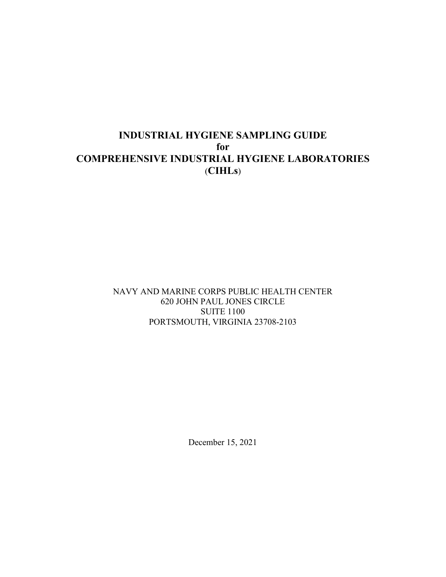# **INDUSTRIAL HYGIENE SAMPLING GUIDE for COMPREHENSIVE INDUSTRIAL HYGIENE LABORATORIES** (**CIHLs**)

NAVY AND MARINE CORPS PUBLIC HEALTH CENTER 620 JOHN PAUL JONES CIRCLE SUITE 1100 PORTSMOUTH, VIRGINIA 23708-2103

December 15, 2021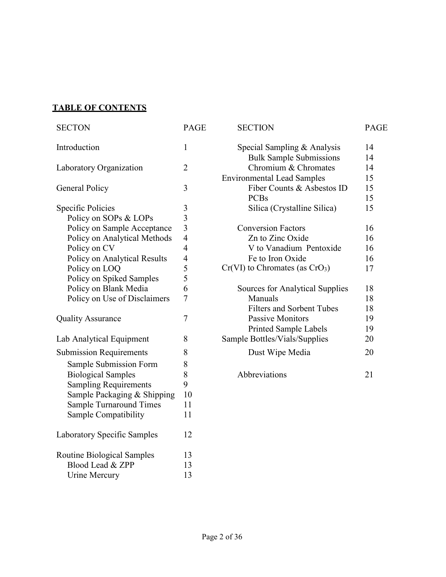# **TABLE OF CONTENTS**

| <b>SECTON</b>                  | <b>PAGE</b>             | <b>SECTION</b>                     | <b>PAGE</b> |
|--------------------------------|-------------------------|------------------------------------|-------------|
| Introduction                   | $\mathbf{1}$            | Special Sampling & Analysis        | 14          |
|                                |                         | <b>Bulk Sample Submissions</b>     | 14          |
| Laboratory Organization        | $\overline{2}$          | Chromium & Chromates               | 14          |
|                                |                         | <b>Environmental Lead Samples</b>  | 15          |
| <b>General Policy</b>          | 3                       | Fiber Counts & Asbestos ID         | 15          |
|                                |                         | <b>PCBs</b>                        | 15          |
| Specific Policies              | 3                       | Silica (Crystalline Silica)        | 15          |
| Policy on SOPs & LOPs          | 3                       |                                    |             |
| Policy on Sample Acceptance    | $\overline{\mathbf{3}}$ | <b>Conversion Factors</b>          | 16          |
| Policy on Analytical Methods   | $\overline{4}$          | Zn to Zinc Oxide                   | 16          |
| Policy on CV                   | $\overline{4}$          | V to Vanadium Pentoxide            | 16          |
| Policy on Analytical Results   | $\overline{4}$          | Fe to Iron Oxide                   | 16          |
| Policy on LOQ                  | 5                       | $Cr(VI)$ to Chromates (as $CrO3$ ) | 17          |
| Policy on Spiked Samples       | 5                       |                                    |             |
| Policy on Blank Media          | 6                       | Sources for Analytical Supplies    | 18          |
| Policy on Use of Disclaimers   | $\overline{7}$          | Manuals                            | 18          |
|                                |                         | <b>Filters and Sorbent Tubes</b>   | 18          |
| <b>Quality Assurance</b>       | $\tau$                  | <b>Passive Monitors</b>            | 19          |
|                                |                         | <b>Printed Sample Labels</b>       | 19          |
| Lab Analytical Equipment       | 8                       | Sample Bottles/Vials/Supplies      | 20          |
| <b>Submission Requirements</b> | 8                       | Dust Wipe Media                    | 20          |
| Sample Submission Form         | 8                       |                                    |             |
| <b>Biological Samples</b>      | 8                       | Abbreviations                      | 21          |
| <b>Sampling Requirements</b>   | 9                       |                                    |             |
| Sample Packaging & Shipping    | 10                      |                                    |             |
| <b>Sample Turnaround Times</b> | 11                      |                                    |             |
| Sample Compatibility           | 11                      |                                    |             |
| Laboratory Specific Samples    | 12                      |                                    |             |
| Routine Biological Samples     | 13                      |                                    |             |
| Blood Lead & ZPP               | 13                      |                                    |             |
| Urine Mercury                  | 13                      |                                    |             |

| Special Sampling & Analysis            | 14 |
|----------------------------------------|----|
| <b>Bulk Sample Submissions</b>         | 14 |
| Chromium & Chromates                   | 14 |
| <b>Environmental Lead Samples</b>      | 15 |
| Fiber Counts & Asbestos ID             | 15 |
| <b>PCBs</b>                            | 15 |
| Silica (Crystalline Silica)            | 15 |
| <b>Conversion Factors</b>              | 16 |
| Zn to Zinc Oxide                       | 16 |
| V to Vanadium Pentoxide                | 16 |
| Fe to Iron Oxide                       | 16 |
| $Cr(VI)$ to Chromates (as $CrO3$ )     | 17 |
| <b>Sources for Analytical Supplies</b> | 18 |
| Manuals                                | 18 |
| <b>Filters and Sorbent Tubes</b>       | 18 |
| Passive Monitors                       | 19 |
| <b>Printed Sample Labels</b>           | 19 |
| Sample Bottles/Vials/Supplies          | 20 |
| Dust Wipe Media                        | 20 |
| <i>Abbreviations</i>                   | 21 |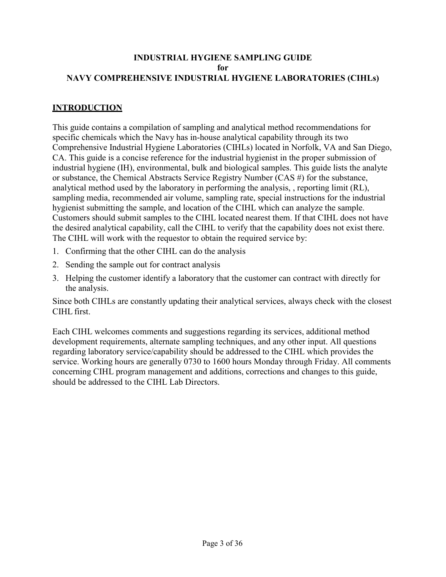#### **INDUSTRIAL HYGIENE SAMPLING GUIDE for NAVY COMPREHENSIVE INDUSTRIAL HYGIENE LABORATORIES (CIHLs)**

## **INTRODUCTION**

This guide contains a compilation of sampling and analytical method recommendations for specific chemicals which the Navy has in-house analytical capability through its two Comprehensive Industrial Hygiene Laboratories (CIHLs) located in Norfolk, VA and San Diego, CA. This guide is a concise reference for the industrial hygienist in the proper submission of industrial hygiene (IH), environmental, bulk and biological samples. This guide lists the analyte or substance, the Chemical Abstracts Service Registry Number (CAS #) for the substance, analytical method used by the laboratory in performing the analysis, , reporting limit (RL), sampling media, recommended air volume, sampling rate, special instructions for the industrial hygienist submitting the sample, and location of the CIHL which can analyze the sample. Customers should submit samples to the CIHL located nearest them. If that CIHL does not have the desired analytical capability, call the CIHL to verify that the capability does not exist there. The CIHL will work with the requestor to obtain the required service by:

- 1. Confirming that the other CIHL can do the analysis
- 2. Sending the sample out for contract analysis
- 3. Helping the customer identify a laboratory that the customer can contract with directly for the analysis.

Since both CIHLs are constantly updating their analytical services, always check with the closest CIHL first.

Each CIHL welcomes comments and suggestions regarding its services, additional method development requirements, alternate sampling techniques, and any other input. All questions regarding laboratory service/capability should be addressed to the CIHL which provides the service. Working hours are generally 0730 to 1600 hours Monday through Friday. All comments concerning CIHL program management and additions, corrections and changes to this guide, should be addressed to the CIHL Lab Directors.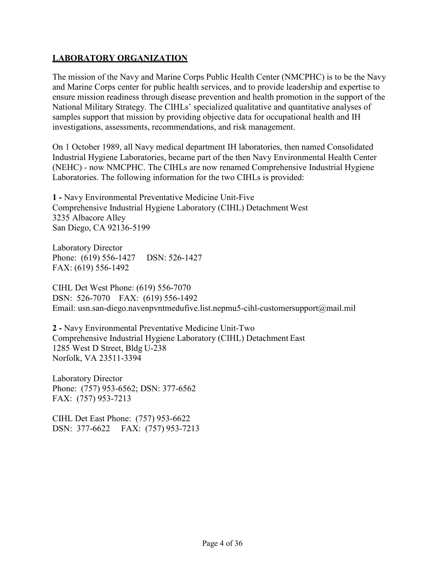## **LABORATORY ORGANIZATION**

The mission of the Navy and Marine Corps Public Health Center (NMCPHC) is to be the Navy and Marine Corps center for public health services, and to provide leadership and expertise to ensure mission readiness through disease prevention and health promotion in the support of the National Military Strategy. The CIHLs' specialized qualitative and quantitative analyses of samples support that mission by providing objective data for occupational health and IH investigations, assessments, recommendations, and risk management.

On 1 October 1989, all Navy medical department IH laboratories, then named Consolidated Industrial Hygiene Laboratories, became part of the then Navy Environmental Health Center (NEHC) - now NMCPHC. The CIHLs are now renamed Comprehensive Industrial Hygiene Laboratories. The following information for the two CIHLs is provided:

**1 -** Navy Environmental Preventative Medicine Unit-Five Comprehensive Industrial Hygiene Laboratory (CIHL) Detachment West 3235 Albacore Alley San Diego, CA 92136-5199

Laboratory Director Phone: (619) 556-1427 DSN: 526-1427 FAX: (619) 556-1492

CIHL Det West Phone: (619) 556-7070 DSN: 526-7070 FAX: (619) 556-1492 Email: usn.san-diego.navenpvntmedufive.list.nepmu5-cihl-customersupport@mail.mil

**2 -** Navy Environmental Preventative Medicine Unit-Two Comprehensive Industrial Hygiene Laboratory (CIHL) Detachment East 1285 West D Street, Bldg U-238 Norfolk, VA 23511-3394

Laboratory Director Phone: (757) 953-6562; DSN: 377-6562 FAX: (757) 953-7213

CIHL Det East Phone: (757) 953-6622 DSN: 377-6622 FAX: (757) 953-7213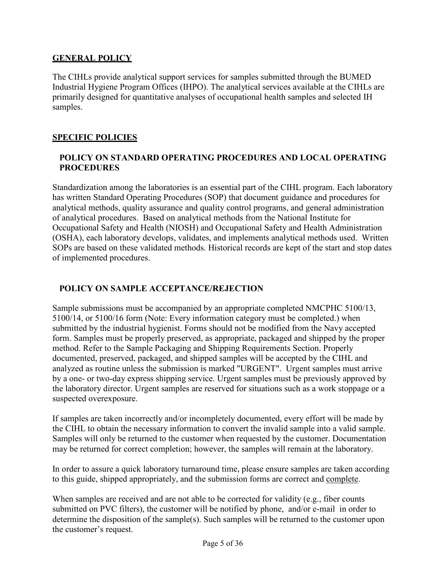### **GENERAL POLICY**

The CIHLs provide analytical support services for samples submitted through the BUMED Industrial Hygiene Program Offices (IHPO). The analytical services available at the CIHLs are primarily designed for quantitative analyses of occupational health samples and selected IH samples.

## **SPECIFIC POLICIES**

## **POLICY ON STANDARD OPERATING PROCEDURES AND LOCAL OPERATING PROCEDURES**

Standardization among the laboratories is an essential part of the CIHL program. Each laboratory has written Standard Operating Procedures (SOP) that document guidance and procedures for analytical methods, quality assurance and quality control programs, and general administration of analytical procedures. Based on analytical methods from the National Institute for Occupational Safety and Health (NIOSH) and Occupational Safety and Health Administration (OSHA), each laboratory develops, validates, and implements analytical methods used. Written SOPs are based on these validated methods. Historical records are kept of the start and stop dates of implemented procedures.

## **POLICY ON SAMPLE ACCEPTANCE/REJECTION**

Sample submissions must be accompanied by an appropriate completed NMCPHC 5100/13, 5100/14, or 5100/16 form (Note: Every information category must be completed.) when submitted by the industrial hygienist. Forms should not be modified from the Navy accepted form. Samples must be properly preserved, as appropriate, packaged and shipped by the proper method. Refer to the Sample Packaging and Shipping Requirements Section. Properly documented, preserved, packaged, and shipped samples will be accepted by the CIHL and analyzed as routine unless the submission is marked "URGENT". Urgent samples must arrive by a one- or two-day express shipping service. Urgent samples must be previously approved by the laboratory director. Urgent samples are reserved for situations such as a work stoppage or a suspected overexposure.

If samples are taken incorrectly and/or incompletely documented, every effort will be made by the CIHL to obtain the necessary information to convert the invalid sample into a valid sample. Samples will only be returned to the customer when requested by the customer. Documentation may be returned for correct completion; however, the samples will remain at the laboratory.

In order to assure a quick laboratory turnaround time, please ensure samples are taken according to this guide, shipped appropriately, and the submission forms are correct and complete.

When samples are received and are not able to be corrected for validity (e.g., fiber counts submitted on PVC filters), the customer will be notified by phone, and/or e-mail in order to determine the disposition of the sample(s). Such samples will be returned to the customer upon the customer's request.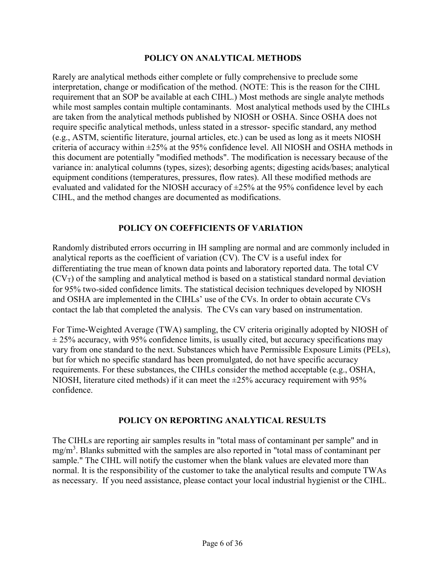#### **POLICY ON ANALYTICAL METHODS**

Rarely are analytical methods either complete or fully comprehensive to preclude some interpretation, change or modification of the method. (NOTE: This is the reason for the CIHL requirement that an SOP be available at each CIHL.) Most methods are single analyte methods while most samples contain multiple contaminants. Most analytical methods used by the CIHLs are taken from the analytical methods published by NIOSH or OSHA. Since OSHA does not require specific analytical methods, unless stated in a stressor- specific standard, any method (e.g., ASTM, scientific literature, journal articles, etc.) can be used as long as it meets NIOSH criteria of accuracy within ±25% at the 95% confidence level. All NIOSH and OSHA methods in this document are potentially "modified methods". The modification is necessary because of the variance in: analytical columns (types, sizes); desorbing agents; digesting acids/bases; analytical equipment conditions (temperatures, pressures, flow rates). All these modified methods are evaluated and validated for the NIOSH accuracy of  $\pm 25\%$  at the 95% confidence level by each CIHL, and the method changes are documented as modifications.

### **POLICY ON COEFFICIENTS OF VARIATION**

Randomly distributed errors occurring in IH sampling are normal and are commonly included in analytical reports as the coefficient of variation (CV). The CV is a useful index for differentiating the true mean of known data points and laboratory reported data. The total CV  $(CV_T)$  of the sampling and analytical method is based on a statistical standard normal deviation for 95% two-sided confidence limits. The statistical decision techniques developed by NIOSH and OSHA are implemented in the CIHLs' use of the CVs. In order to obtain accurate CVs contact the lab that completed the analysis. The CVs can vary based on instrumentation.

For Time-Weighted Average (TWA) sampling, the CV criteria originally adopted by NIOSH of  $\pm$  25% accuracy, with 95% confidence limits, is usually cited, but accuracy specifications may vary from one standard to the next. Substances which have Permissible Exposure Limits (PELs), but for which no specific standard has been promulgated, do not have specific accuracy requirements. For these substances, the CIHLs consider the method acceptable (e.g., OSHA, NIOSH, literature cited methods) if it can meet the  $\pm 25\%$  accuracy requirement with 95% confidence.

### **POLICY ON REPORTING ANALYTICAL RESULTS**

The CIHLs are reporting air samples results in "total mass of contaminant per sample" and in mg/m<sup>3</sup>. Blanks submitted with the samples are also reported in "total mass of contaminant per sample." The CIHL will notify the customer when the blank values are elevated more than normal. It is the responsibility of the customer to take the analytical results and compute TWAs as necessary. If you need assistance, please contact your local industrial hygienist or the CIHL.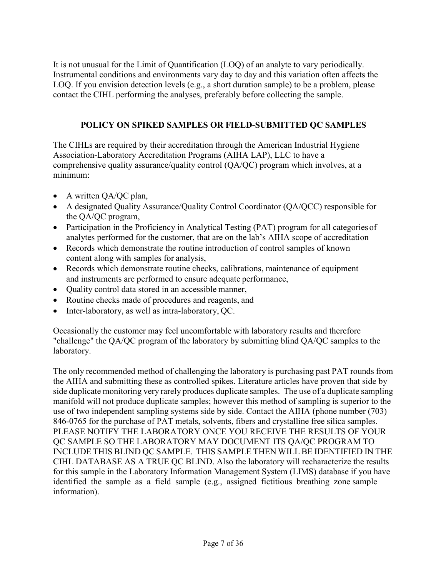It is not unusual for the Limit of Quantification (LOQ) of an analyte to vary periodically. Instrumental conditions and environments vary day to day and this variation often affects the LOQ. If you envision detection levels (e.g., a short duration sample) to be a problem, please contact the CIHL performing the analyses, preferably before collecting the sample.

## **POLICY ON SPIKED SAMPLES OR FIELD-SUBMITTED QC SAMPLES**

The CIHLs are required by their accreditation through the American Industrial Hygiene Association-Laboratory Accreditation Programs (AIHA LAP), LLC to have a comprehensive quality assurance/quality control (QA/QC) program which involves, at a minimum:

- A written QA/QC plan,
- A designated Quality Assurance/Quality Control Coordinator (QA/QCC) responsible for the QA/QC program,
- Participation in the Proficiency in Analytical Testing (PAT) program for all categories of analytes performed for the customer, that are on the lab's AIHA scope of accreditation
- Records which demonstrate the routine introduction of control samples of known content along with samples for analysis,
- Records which demonstrate routine checks, calibrations, maintenance of equipment and instruments are performed to ensure adequate performance,
- Quality control data stored in an accessible manner,
- Routine checks made of procedures and reagents, and
- Inter-laboratory, as well as intra-laboratory, QC.

Occasionally the customer may feel uncomfortable with laboratory results and therefore "challenge" the QA/QC program of the laboratory by submitting blind QA/QC samples to the laboratory.

The only recommended method of challenging the laboratory is purchasing past PAT rounds from the AIHA and submitting these as controlled spikes. Literature articles have proven that side by side duplicate monitoring very rarely produces duplicate samples. The use of a duplicate sampling manifold will not produce duplicate samples; however this method of sampling is superior to the use of two independent sampling systems side by side. Contact the AIHA (phone number (703) 846-0765 for the purchase of PAT metals, solvents, fibers and crystalline free silica samples. PLEASE NOTIFY THE LABORATORY ONCE YOU RECEIVE THE RESULTS OF YOUR QC SAMPLE SO THE LABORATORY MAY DOCUMENT ITS QA/QC PROGRAM TO INCLUDE THIS BLIND QC SAMPLE. THIS SAMPLE THEN WILL BE IDENTIFIED IN THE CIHL DATABASE AS A TRUE QC BLIND. Also the laboratory will recharacterize the results for this sample in the Laboratory Information Management System (LIMS) database if you have identified the sample as a field sample (e.g., assigned fictitious breathing zone sample information).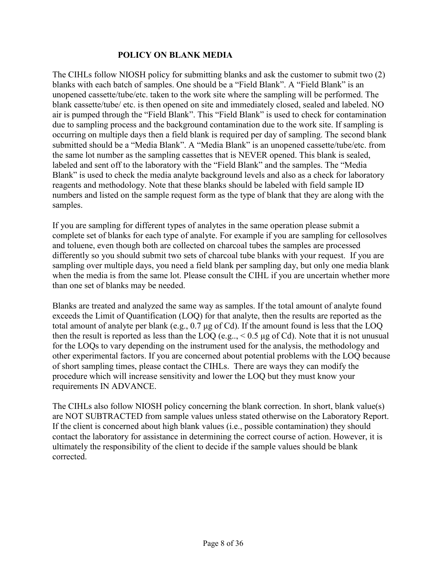#### **POLICY ON BLANK MEDIA**

The CIHLs follow NIOSH policy for submitting blanks and ask the customer to submit two (2) blanks with each batch of samples. One should be a "Field Blank". A "Field Blank" is an unopened cassette/tube/etc. taken to the work site where the sampling will be performed. The blank cassette/tube/ etc. is then opened on site and immediately closed, sealed and labeled. NO air is pumped through the "Field Blank". This "Field Blank" is used to check for contamination due to sampling process and the background contamination due to the work site. If sampling is occurring on multiple days then a field blank is required per day of sampling. The second blank submitted should be a "Media Blank". A "Media Blank" is an unopened cassette/tube/etc. from the same lot number as the sampling cassettes that is NEVER opened. This blank is sealed, labeled and sent off to the laboratory with the "Field Blank" and the samples. The "Media Blank" is used to check the media analyte background levels and also as a check for laboratory reagents and methodology. Note that these blanks should be labeled with field sample ID numbers and listed on the sample request form as the type of blank that they are along with the samples.

If you are sampling for different types of analytes in the same operation please submit a complete set of blanks for each type of analyte. For example if you are sampling for cellosolves and toluene, even though both are collected on charcoal tubes the samples are processed differently so you should submit two sets of charcoal tube blanks with your request. If you are sampling over multiple days, you need a field blank per sampling day, but only one media blank when the media is from the same lot. Please consult the CIHL if you are uncertain whether more than one set of blanks may be needed.

Blanks are treated and analyzed the same way as samples. If the total amount of analyte found exceeds the Limit of Quantification (LOQ) for that analyte, then the results are reported as the total amount of analyte per blank (e.g., 0.7 μg of Cd). If the amount found is less that the LOQ then the result is reported as less than the LOQ (e.g.,  $< 0.5 \mu$ g of Cd). Note that it is not unusual for the LOQs to vary depending on the instrument used for the analysis, the methodology and other experimental factors. If you are concerned about potential problems with the LOQ because of short sampling times, please contact the CIHLs. There are ways they can modify the procedure which will increase sensitivity and lower the LOQ but they must know your requirements IN ADVANCE.

The CIHLs also follow NIOSH policy concerning the blank correction. In short, blank value(s) are NOT SUBTRACTED from sample values unless stated otherwise on the Laboratory Report. If the client is concerned about high blank values (i.e., possible contamination) they should contact the laboratory for assistance in determining the correct course of action. However, it is ultimately the responsibility of the client to decide if the sample values should be blank corrected.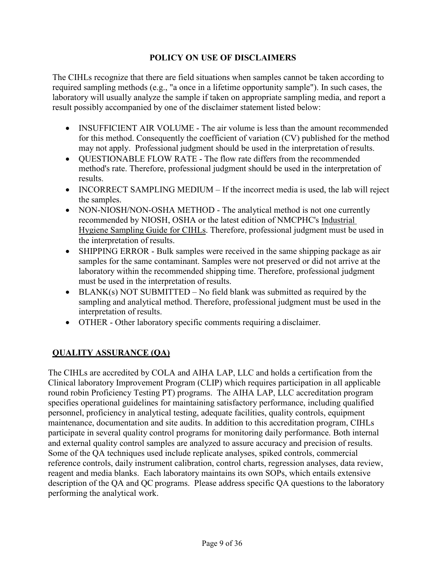## **POLICY ON USE OF DISCLAIMERS**

The CIHLs recognize that there are field situations when samples cannot be taken according to required sampling methods (e.g., "a once in a lifetime opportunity sample"). In such cases, the laboratory will usually analyze the sample if taken on appropriate sampling media, and report a result possibly accompanied by one of the disclaimer statement listed below:

- INSUFFICIENT AIR VOLUME The air volume is less than the amount recommended for this method. Consequently the coefficient of variation (CV) published for the method may not apply. Professional judgment should be used in the interpretation of results.
- QUESTIONABLE FLOW RATE The flow rate differs from the recommended method's rate. Therefore, professional judgment should be used in the interpretation of results.
- INCORRECT SAMPLING MEDIUM If the incorrect media is used, the lab will reject the samples.
- NON-NIOSH/NON-OSHA METHOD The analytical method is not one currently recommended by NIOSH, OSHA or the latest edition of NMCPHC's Industrial Hygiene Sampling Guide for CIHLs. Therefore, professional judgment must be used in the interpretation of results.
- SHIPPING ERROR Bulk samples were received in the same shipping package as air samples for the same contaminant. Samples were not preserved or did not arrive at the laboratory within the recommended shipping time. Therefore, professional judgment must be used in the interpretation of results.
- BLANK(s) NOT SUBMITTED No field blank was submitted as required by the sampling and analytical method. Therefore, professional judgment must be used in the interpretation of results.
- OTHER Other laboratory specific comments requiring a disclaimer.

## **QUALITY ASSURANCE (QA)**

The CIHLs are accredited by COLA and AIHA LAP, LLC and holds a certification from the Clinical laboratory Improvement Program (CLIP) which requires participation in all applicable round robin Proficiency Testing PT) programs. The AIHA LAP, LLC accreditation program specifies operational guidelines for maintaining satisfactory performance, including qualified personnel, proficiency in analytical testing, adequate facilities, quality controls, equipment maintenance, documentation and site audits. In addition to this accreditation program, CIHLs participate in several quality control programs for monitoring daily performance. Both internal and external quality control samples are analyzed to assure accuracy and precision of results. Some of the QA techniques used include replicate analyses, spiked controls, commercial reference controls, daily instrument calibration, control charts, regression analyses, data review, reagent and media blanks. Each laboratory maintains its own SOPs, which entails extensive description of the QA and QC programs. Please address specific QA questions to the laboratory performing the analytical work.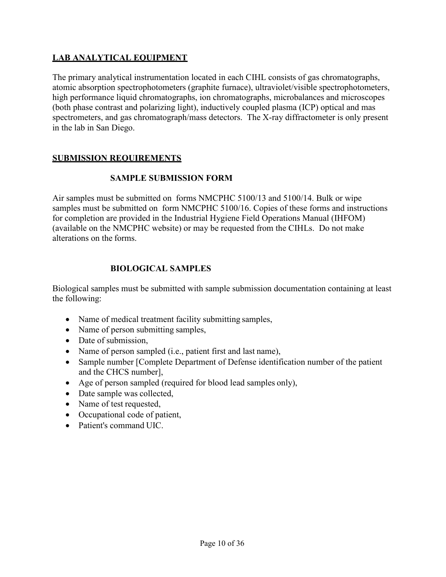## **LAB ANALYTICAL EQUIPMENT**

The primary analytical instrumentation located in each CIHL consists of gas chromatographs, atomic absorption spectrophotometers (graphite furnace), ultraviolet/visible spectrophotometers, high performance liquid chromatographs, ion chromatographs, microbalances and microscopes (both phase contrast and polarizing light), inductively coupled plasma (ICP) optical and mas spectrometers, and gas chromatograph/mass detectors. The X-ray diffractometer is only present in the lab in San Diego.

### **SUBMISSION REQUIREMENTS**

### **SAMPLE SUBMISSION FORM**

Air samples must be submitted on forms NMCPHC 5100/13 and 5100/14. Bulk or wipe samples must be submitted on form NMCPHC 5100/16. Copies of these forms and instructions for completion are provided in the Industrial Hygiene Field Operations Manual (IHFOM) (available on the NMCPHC website) or may be requested from the CIHLs. Do not make alterations on the forms.

## **BIOLOGICAL SAMPLES**

Biological samples must be submitted with sample submission documentation containing at least the following:

- Name of medical treatment facility submitting samples,
- Name of person submitting samples,
- Date of submission.
- Name of person sampled (i.e., patient first and last name),
- Sample number [Complete Department of Defense identification number of the patient and the CHCS number],
- Age of person sampled (required for blood lead samples only),
- Date sample was collected,
- Name of test requested,
- Occupational code of patient,
- Patient's command UIC.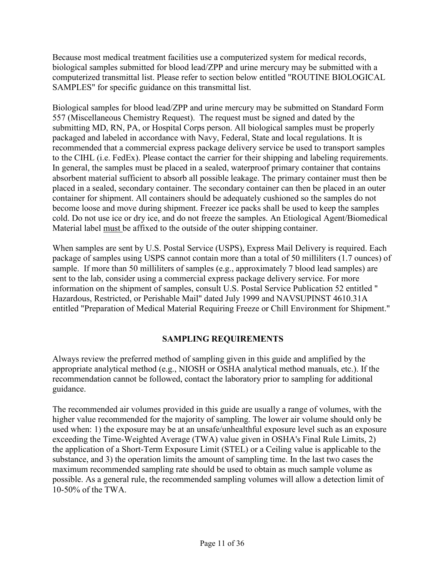Because most medical treatment facilities use a computerized system for medical records, biological samples submitted for blood lead/ZPP and urine mercury may be submitted with a computerized transmittal list. Please refer to section below entitled "ROUTINE BIOLOGICAL SAMPLES" for specific guidance on this transmittal list.

Biological samples for blood lead/ZPP and urine mercury may be submitted on Standard Form 557 (Miscellaneous Chemistry Request). The request must be signed and dated by the submitting MD, RN, PA, or Hospital Corps person. All biological samples must be properly packaged and labeled in accordance with Navy, Federal, State and local regulations. It is recommended that a commercial express package delivery service be used to transport samples to the CIHL (i.e. FedEx). Please contact the carrier for their shipping and labeling requirements. In general, the samples must be placed in a sealed, waterproof primary container that contains absorbent material sufficient to absorb all possible leakage. The primary container must then be placed in a sealed, secondary container. The secondary container can then be placed in an outer container for shipment. All containers should be adequately cushioned so the samples do not become loose and move during shipment. Freezer ice packs shall be used to keep the samples cold. Do not use ice or dry ice, and do not freeze the samples. An Etiological Agent/Biomedical Material label must be affixed to the outside of the outer shipping container.

When samples are sent by U.S. Postal Service (USPS), Express Mail Delivery is required. Each package of samples using USPS cannot contain more than a total of 50 milliliters (1.7 ounces) of sample. If more than 50 milliliters of samples (e.g., approximately 7 blood lead samples) are sent to the lab, consider using a commercial express package delivery service. For more information on the shipment of samples, consult U.S. Postal Service Publication 52 entitled " Hazardous, Restricted, or Perishable Mail" dated July 1999 and NAVSUPINST 4610.31A entitled "Preparation of Medical Material Requiring Freeze or Chill Environment for Shipment."

## **SAMPLING REQUIREMENTS**

Always review the preferred method of sampling given in this guide and amplified by the appropriate analytical method (e.g., NIOSH or OSHA analytical method manuals, etc.). If the recommendation cannot be followed, contact the laboratory prior to sampling for additional guidance.

The recommended air volumes provided in this guide are usually a range of volumes, with the higher value recommended for the majority of sampling. The lower air volume should only be used when: 1) the exposure may be at an unsafe/unhealthful exposure level such as an exposure exceeding the Time-Weighted Average (TWA) value given in OSHA's Final Rule Limits, 2) the application of a Short-Term Exposure Limit (STEL) or a Ceiling value is applicable to the substance, and 3) the operation limits the amount of sampling time. In the last two cases the maximum recommended sampling rate should be used to obtain as much sample volume as possible. As a general rule, the recommended sampling volumes will allow a detection limit of 10-50% of the TWA.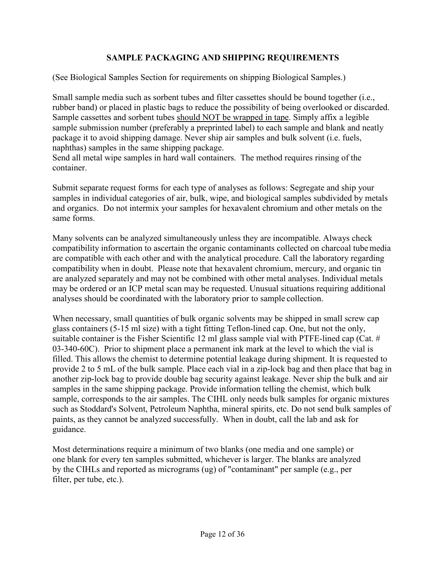## **SAMPLE PACKAGING AND SHIPPING REQUIREMENTS**

(See Biological Samples Section for requirements on shipping Biological Samples.)

Small sample media such as sorbent tubes and filter cassettes should be bound together (i.e., rubber band) or placed in plastic bags to reduce the possibility of being overlooked or discarded. Sample cassettes and sorbent tubes should NOT be wrapped in tape. Simply affix a legible sample submission number (preferably a preprinted label) to each sample and blank and neatly package it to avoid shipping damage. Never ship air samples and bulk solvent (i.e. fuels, naphthas) samples in the same shipping package.

Send all metal wipe samples in hard wall containers. The method requires rinsing of the container.

Submit separate request forms for each type of analyses as follows: Segregate and ship your samples in individual categories of air, bulk, wipe, and biological samples subdivided by metals and organics. Do not intermix your samples for hexavalent chromium and other metals on the same forms.

Many solvents can be analyzed simultaneously unless they are incompatible. Always check compatibility information to ascertain the organic contaminants collected on charcoal tubemedia are compatible with each other and with the analytical procedure. Call the laboratory regarding compatibility when in doubt. Please note that hexavalent chromium, mercury, and organic tin are analyzed separately and may not be combined with other metal analyses. Individual metals may be ordered or an ICP metal scan may be requested. Unusual situations requiring additional analyses should be coordinated with the laboratory prior to sample collection.

When necessary, small quantities of bulk organic solvents may be shipped in small screw cap glass containers (5-15 ml size) with a tight fitting Teflon-lined cap. One, but not the only, suitable container is the Fisher Scientific 12 ml glass sample vial with PTFE-lined cap (Cat. # 03-340-60C). Prior to shipment place a permanent ink mark at the level to which the vial is filled. This allows the chemist to determine potential leakage during shipment. It is requested to provide 2 to 5 mL of the bulk sample. Place each vial in a zip-lock bag and then place that bag in another zip-lock bag to provide double bag security against leakage. Never ship the bulk and air samples in the same shipping package. Provide information telling the chemist, which bulk sample, corresponds to the air samples. The CIHL only needs bulk samples for organic mixtures such as Stoddard's Solvent, Petroleum Naphtha, mineral spirits, etc. Do not send bulk samples of paints, as they cannot be analyzed successfully. When in doubt, call the lab and ask for guidance.

Most determinations require a minimum of two blanks (one media and one sample) or one blank for every ten samples submitted, whichever is larger. The blanks are analyzed by the CIHLs and reported as micrograms (ug) of "contaminant" per sample (e.g., per filter, per tube, etc.).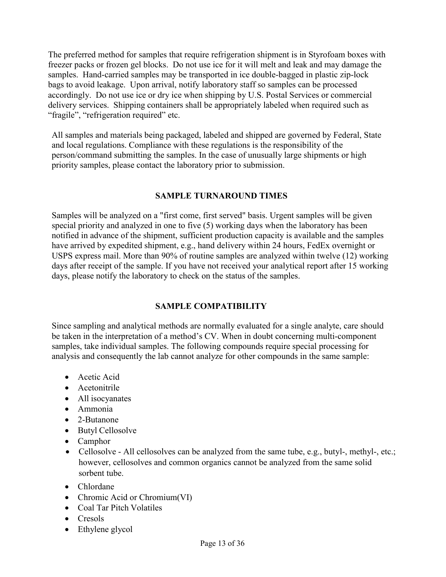The preferred method for samples that require refrigeration shipment is in Styrofoam boxes with freezer packs or frozen gel blocks. Do not use ice for it will melt and leak and may damage the samples. Hand-carried samples may be transported in ice double-bagged in plastic zip-lock bags to avoid leakage. Upon arrival, notify laboratory staff so samples can be processed accordingly. Do not use ice or dry ice when shipping by U.S. Postal Services or commercial delivery services. Shipping containers shall be appropriately labeled when required such as "fragile", "refrigeration required" etc.

All samples and materials being packaged, labeled and shipped are governed by Federal, State and local regulations. Compliance with these regulations is the responsibility of the person/command submitting the samples. In the case of unusually large shipments or high priority samples, please contact the laboratory prior to submission.

### **SAMPLE TURNAROUND TIMES**

Samples will be analyzed on a "first come, first served" basis. Urgent samples will be given special priority and analyzed in one to five (5) working days when the laboratory has been notified in advance of the shipment, sufficient production capacity is available and the samples have arrived by expedited shipment, e.g., hand delivery within 24 hours, FedEx overnight or USPS express mail. More than 90% of routine samples are analyzed within twelve (12) working days after receipt of the sample. If you have not received your analytical report after 15 working days, please notify the laboratory to check on the status of the samples.

## **SAMPLE COMPATIBILITY**

Since sampling and analytical methods are normally evaluated for a single analyte, care should be taken in the interpretation of a method's CV. When in doubt concerning multi-component samples, take individual samples. The following compounds require special processing for analysis and consequently the lab cannot analyze for other compounds in the same sample:

- Acetic Acid
- Acetonitrile
- All isocyanates
- Ammonia
- 2-Butanone
- Butyl Cellosolve
- Camphor
- Cellosolve All cellosolves can be analyzed from the same tube, e.g., butyl-, methyl-, etc.; however, cellosolves and common organics cannot be analyzed from the same solid sorbent tube.
- Chlordane
- Chromic Acid or Chromium(VI)
- Coal Tar Pitch Volatiles
- Cresols
- Ethylene glycol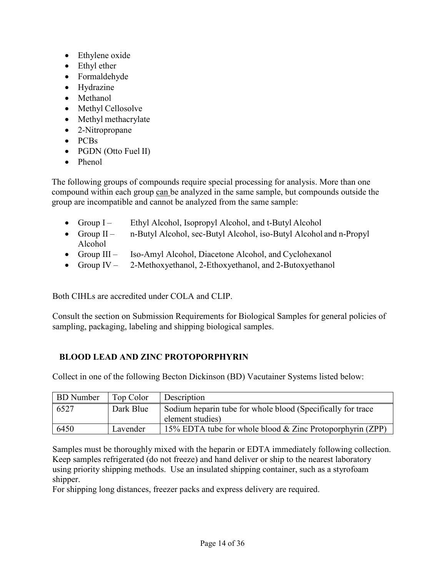- Ethylene oxide
- Ethyl ether
- Formaldehyde
- Hydrazine
- Methanol
- Methyl Cellosolve
- Methyl methacrylate
- 2-Nitropropane
- PCBs
- PGDN (Otto Fuel II)
- Phenol

The following groups of compounds require special processing for analysis. More than one compound within each group can be analyzed in the same sample, but compounds outside the group are incompatible and cannot be analyzed from the same sample:

- Group I Ethyl Alcohol, Isopropyl Alcohol, and t-Butyl Alcohol
- Group II n-Butyl Alcohol, sec-Butyl Alcohol, iso-Butyl Alcohol and n-Propyl Alcohol
- Group III Iso-Amyl Alcohol, Diacetone Alcohol, and Cyclohexanol
- Group IV 2-Methoxyethanol, 2-Ethoxyethanol, and 2-Butoxyethanol

Both CIHLs are accredited under COLA and CLIP.

Consult the section on Submission Requirements for Biological Samples for general policies of sampling, packaging, labeling and shipping biological samples.

## **BLOOD LEAD AND ZINC PROTOPORPHYRIN**

Collect in one of the following Becton Dickinson (BD) Vacutainer Systems listed below:

| <b>BD</b> Number | Top Color | Description                                                 |
|------------------|-----------|-------------------------------------------------------------|
| 6527             | Dark Blue | Sodium heparin tube for whole blood (Specifically for trace |
|                  |           | element studies)                                            |
| 6450             | Lavender  | 15% EDTA tube for whole blood & Zinc Protoporphyrin (ZPP)   |

Samples must be thoroughly mixed with the heparin or EDTA immediately following collection. Keep samples refrigerated (do not freeze) and hand deliver or ship to the nearest laboratory using priority shipping methods. Use an insulated shipping container, such as a styrofoam shipper.

For shipping long distances, freezer packs and express delivery are required.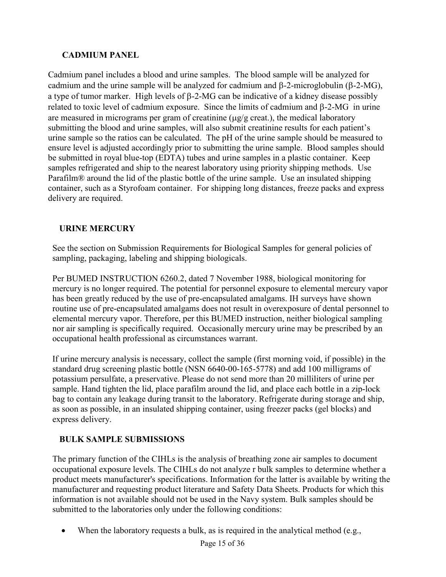## **CADMIUM PANEL**

Cadmium panel includes a blood and urine samples. The blood sample will be analyzed for cadmium and the urine sample will be analyzed for cadmium and β-2-microglobulin (β-2-MG), a type of tumor marker. High levels of β-2-MG can be indicative of a kidney disease possibly related to toxic level of cadmium exposure. Since the limits of cadmium and β-2-MG in urine are measured in micrograms per gram of creatinine ( $\mu$ g/g creat.), the medical laboratory submitting the blood and urine samples, will also submit creatinine results for each patient's urine sample so the ratios can be calculated. The pH of the urine sample should be measured to ensure level is adjusted accordingly prior to submitting the urine sample. Blood samples should be submitted in royal blue-top (EDTA) tubes and urine samples in a plastic container. Keep samples refrigerated and ship to the nearest laboratory using priority shipping methods. Use Parafilm® around the lid of the plastic bottle of the urine sample. Use an insulated shipping container, such as a Styrofoam container. For shipping long distances, freeze packs and express delivery are required.

# **URINE MERCURY**

See the section on Submission Requirements for Biological Samples for general policies of sampling, packaging, labeling and shipping biologicals.

Per BUMED INSTRUCTION 6260.2, dated 7 November 1988, biological monitoring for mercury is no longer required. The potential for personnel exposure to elemental mercury vapor has been greatly reduced by the use of pre-encapsulated amalgams. IH surveys have shown routine use of pre-encapsulated amalgams does not result in overexposure of dental personnel to elemental mercury vapor. Therefore, per this BUMED instruction, neither biological sampling nor air sampling is specifically required. Occasionally mercury urine may be prescribed by an occupational health professional as circumstances warrant.

If urine mercury analysis is necessary, collect the sample (first morning void, if possible) in the standard drug screening plastic bottle (NSN 6640-00-165-5778) and add 100 milligrams of potassium persulfate, a preservative. Please do not send more than 20 milliliters of urine per sample. Hand tighten the lid, place parafilm around the lid, and place each bottle in a zip-lock bag to contain any leakage during transit to the laboratory. Refrigerate during storage and ship, as soon as possible, in an insulated shipping container, using freezer packs (gel blocks) and express delivery.

## **BULK SAMPLE SUBMISSIONS**

The primary function of the CIHLs is the analysis of breathing zone air samples to document occupational exposure levels. The CIHLs do not analyze r bulk samples to determine whether a product meets manufacturer's specifications. Information for the latter is available by writing the manufacturer and requesting product literature and Safety Data Sheets. Products for which this information is not available should not be used in the Navy system. Bulk samples should be submitted to the laboratories only under the following conditions:

• When the laboratory requests a bulk, as is required in the analytical method (e.g.,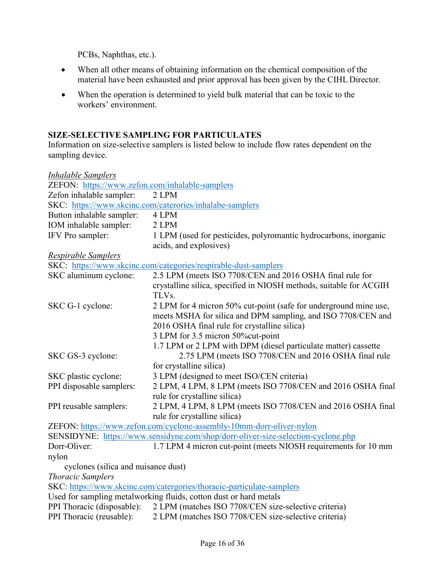PCBs, Naphthas, etc.).

- When all other means of obtaining information on the chemical composition of the material have been exhausted and prior approval has been given by the CIHL Director.
- When the operation is determined to yield bulk material that can be toxic to the workers' environment.

# **SIZE-SELECTIVE SAMPLING FOR PARTICULATES**

Information on size-selective samplers is listed below to include flow rates dependent on the sampling device.

| <b>Inhalable Samplers</b>                       |                                                                                                                                                                                                                                                                                          |
|-------------------------------------------------|------------------------------------------------------------------------------------------------------------------------------------------------------------------------------------------------------------------------------------------------------------------------------------------|
| ZEFON: https://www.zefon.com/inhalable-samplers |                                                                                                                                                                                                                                                                                          |
| Zefon inhalable sampler:                        | 2 LPM                                                                                                                                                                                                                                                                                    |
|                                                 | SKC: https://www.skcinc.com/caterories/inhalabe-samplers                                                                                                                                                                                                                                 |
| Button inhalable sampler:                       | 4 LPM                                                                                                                                                                                                                                                                                    |
| IOM inhalable sampler:                          | 2 LPM                                                                                                                                                                                                                                                                                    |
| IFV Pro sampler:                                | 1 LPM (used for pesticides, polyromantic hydrocarbons, inorganic<br>acids, and explosives)                                                                                                                                                                                               |
| Respirable Samplers                             |                                                                                                                                                                                                                                                                                          |
|                                                 | SKC: https://www.skcinc.com/categories/respirable-dust-samplers                                                                                                                                                                                                                          |
| SKC aluminum cyclone:                           | 2.5 LPM (meets ISO 7708/CEN and 2016 OSHA final rule for<br>crystalline silica, specified in NIOSH methods, suitable for ACGIH<br>TLVs.                                                                                                                                                  |
| SKC G-1 cyclone:                                | 2 LPM for 4 micron 50% cut-point (safe for underground mine use,<br>meets MSHA for silica and DPM sampling, and ISO 7708/CEN and<br>2016 OSHA final rule for crystalline silica)<br>3 LPM for 3.5 micron 50% cut-point<br>1.7 LPM or 2 LPM with DPM (diesel particulate matter) cassette |
| SKC GS-3 cyclone:                               | 2.75 LPM (meets ISO 7708/CEN and 2016 OSHA final rule<br>for crystalline silica)                                                                                                                                                                                                         |
| SKC plastic cyclone:                            | 3 LPM (designed to meet ISO/CEN criteria)                                                                                                                                                                                                                                                |
| PPI disposable samplers:                        | 2 LPM, 4 LPM, 8 LPM (meets ISO 7708/CEN and 2016 OSHA final<br>rule for crystalline silica)                                                                                                                                                                                              |
| PPI reusable samplers:                          | 2 LPM, 4 LPM, 8 LPM (meets ISO 7708/CEN and 2016 OSHA final<br>rule for crystalline silica)                                                                                                                                                                                              |
|                                                 | ZEFON: https://www.zefon.com/cyclone-assembly-10mm-dorr-oliver-nylon                                                                                                                                                                                                                     |
|                                                 | SENSIDYNE: https://www.sensidyne.com/shop/dorr-oliver-size-selection-cyclone.php                                                                                                                                                                                                         |
| Dorr-Oliver:                                    | 1.7 LPM 4 micron cut-point (meets NIOSH requirements for 10 mm                                                                                                                                                                                                                           |
| nylon                                           |                                                                                                                                                                                                                                                                                          |
| cyclones (silica and nuisance dust)             |                                                                                                                                                                                                                                                                                          |
| <b>Thoracic Samplers</b>                        |                                                                                                                                                                                                                                                                                          |
|                                                 | SKC: https://www.skcinc.com/catergories/thoracic-particulate-samplers                                                                                                                                                                                                                    |
|                                                 | Used for sampling metalworking fluids, cotton dust or hard metals                                                                                                                                                                                                                        |
| PPI Thoracic (disposable):                      | 2 LPM (matches ISO 7708/CEN size-selective criteria)                                                                                                                                                                                                                                     |
| PPI Thoracic (reusable):                        | 2 LPM (matches ISO 7708/CEN size-selective criteria)                                                                                                                                                                                                                                     |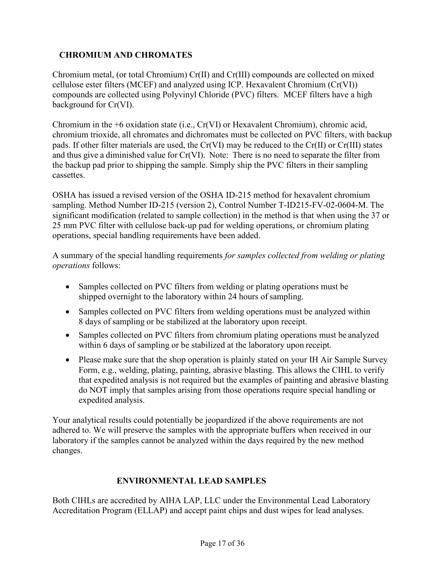## **CHROMIUM AND CHROMATES**

Chromium metal, (or total Chromium) Cr(II) and Cr(III) compounds are collected on mixed cellulose ester filters (MCEF) and analyzed using ICP. Hexavalent Chromium (Cr(VI)) compounds are collected using Polyvinyl Chloride (PVC) filters. MCEF filters have a high background for Cr(VI).

Chromium in the +6 oxidation state (i.e., Cr(VI) or Hexavalent Chromium), chromic acid, chromium trioxide, all chromates and dichromates must be collected on PVC filters, with backup pads. If other filter materials are used, the Cr(VI) may be reduced to the Cr(II) or Cr(III) states and thus give a diminished value for Cr(VI). Note: There is no need to separate the filter from the backup pad prior to shipping the sample. Simply ship the PVC filters in their sampling cassettes.

OSHA has issued a revised version of the OSHA ID-215 method for hexavalent chromium sampling. Method Number ID-215 (version 2), Control Number T-ID215-FV-02-0604-M. The significant modification (related to sample collection) in the method is that when using the 37 or 25 mm PVC filter with cellulose back-up pad for welding operations, or chromium plating operations, special handling requirements have been added.

A summary of the special handling requirements *for samples collected from welding or plating operations* follows:

- Samples collected on PVC filters from welding or plating operations must be shipped overnight to the laboratory within 24 hours of sampling.
- Samples collected on PVC filters from welding operations must be analyzed within 8 days of sampling or be stabilized at the laboratory upon receipt.
- Samples collected on PVC filters from chromium plating operations must be analyzed within 6 days of sampling or be stabilized at the laboratory upon receipt.
- Please make sure that the shop operation is plainly stated on your IH Air Sample Survey Form, e.g., welding, plating, painting, abrasive blasting. This allows the CIHL to verify that expedited analysis is not required but the examples of painting and abrasive blasting do NOT imply that samples arising from those operations require special handling or expedited analysis.

Your analytical results could potentially be jeopardized if the above requirements are not adhered to. We will preserve the samples with the appropriate buffers when received in our laboratory if the samples cannot be analyzed within the days required by the new method changes.

## **ENVIRONMENTAL LEAD SAMPLES**

Both CIHLs are accredited by AIHA LAP, LLC under the Environmental Lead Laboratory Accreditation Program (ELLAP) and accept paint chips and dust wipes for lead analyses.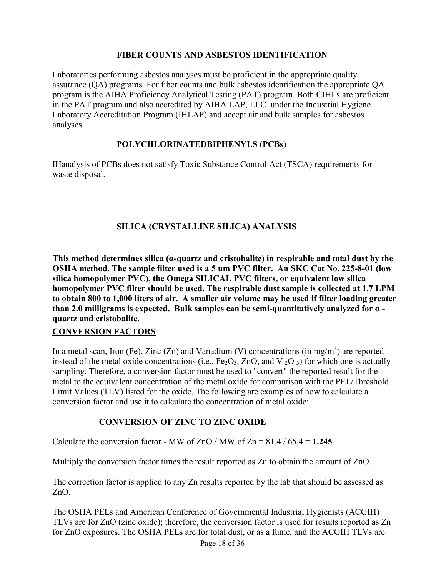#### **FIBER COUNTS AND ASBESTOS IDENTIFICATION**

Laboratories performing asbestos analyses must be proficient in the appropriate quality assurance (QA) programs. For fiber counts and bulk asbestos identification the appropriate QA program is the AIHA Proficiency Analytical Testing (PAT) program. Both CIHLs are proficient in the PAT program and also accredited by AIHA LAP, LLC under the Industrial Hygiene Laboratory Accreditation Program (IHLAP) and accept air and bulk samples for asbestos analyses.

#### **POLYCHLORINATEDBIPHENYLS (PCBs)**

IHanalysis of PCBs does not satisfy Toxic Substance Control Act (TSCA) requirements for waste disposal.

## **SILICA (CRYSTALLINE SILICA) ANALYSIS**

**This method determines silica (α-quartz and cristobalite) in respirable and total dust by the OSHA method. The sample filter used is a 5 um PVC filter. An SKC Cat No. 225-8-01 (low silica homopolymer PVC), the Omega SILICAL PVC filters, or equivalent low silica homopolymer PVC filter should be used. The respirable dust sample is collected at 1.7 LPM to obtain 800 to 1,000 liters of air. A smaller air volume may be used if filter loading greater than 2.0 milligrams is expected. Bulk samples can be semi-quantitatively analyzed for α quartz and cristobalite.**

### **CONVERSION FACTORS**

In a metal scan, Iron (Fe), Zinc (Zn) and Vanadium (V) concentrations (in mg/m<sup>3</sup>) are reported instead of the metal oxide concentrations (i.e.,  $Fe<sub>2</sub>O<sub>3</sub>$ , ZnO, and V  $<sub>2</sub>O<sub>5</sub>$ ) for which one is actually</sub> sampling. Therefore, a conversion factor must be used to "convert" the reported result for the metal to the equivalent concentration of the metal oxide for comparison with the PEL/Threshold Limit Values (TLV) listed for the oxide. The following are examples of how to calculate a conversion factor and use it to calculate the concentration of metal oxide:

### **CONVERSION OF ZINC TO ZINC OXIDE**

Calculate the conversion factor - MW of  $ZnO$  / MW of  $Zn = 81.4 / 65.4 = 1.245$ 

Multiply the conversion factor times the result reported as Zn to obtain the amount of ZnO.

The correction factor is applied to any Zn results reported by the lab that should be assessed as ZnO.

The OSHA PELs and American Conference of Governmental Industrial Hygienists (ACGIH) TLVs are for ZnO (zinc oxide); therefore, the conversion factor is used for results reported as Zn for ZnO exposures. The OSHA PELs are for total dust, or as a fume, and the ACGIH TLVs are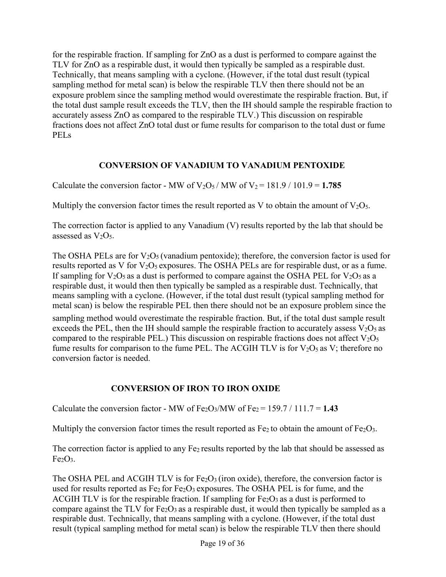for the respirable fraction. If sampling for ZnO as a dust is performed to compare against the TLV for ZnO as a respirable dust, it would then typically be sampled as a respirable dust. Technically, that means sampling with a cyclone. (However, if the total dust result (typical sampling method for metal scan) is below the respirable TLV then there should not be an exposure problem since the sampling method would overestimate the respirable fraction. But, if the total dust sample result exceeds the TLV, then the IH should sample the respirable fraction to accurately assess ZnO as compared to the respirable TLV.) This discussion on respirable fractions does not affect ZnO total dust or fume results for comparison to the total dust or fume PELs

### **CONVERSION OF VANADIUM TO VANADIUM PENTOXIDE**

Calculate the conversion factor - MW of  $V_2O_5$ / MW of  $V_2 = 181.9$ / 101.9 = 1.785

Multiply the conversion factor times the result reported as V to obtain the amount of  $V_2O_5$ .

The correction factor is applied to any Vanadium (V) results reported by the lab that should be assessed as  $V<sub>2</sub>O<sub>5</sub>$ .

The OSHA PELs are for  $V_2O_5$  (vanadium pentoxide); therefore, the conversion factor is used for results reported as V for  $V_2O_5$  exposures. The OSHA PELs are for respirable dust, or as a fume. If sampling for  $V_2O_5$  as a dust is performed to compare against the OSHA PEL for  $V_2O_5$  as a respirable dust, it would then then typically be sampled as a respirable dust. Technically, that means sampling with a cyclone. (However, if the total dust result (typical sampling method for metal scan) is below the respirable PEL then there should not be an exposure problem since the sampling method would overestimate the respirable fraction. But, if the total dust sample result exceeds the PEL, then the IH should sample the respirable fraction to accurately assess  $V_2O_5$  as compared to the respirable PEL.) This discussion on respirable fractions does not affect  $V_2O_5$ fume results for comparison to the fume PEL. The ACGIH TLV is for  $V_2O_5$  as V; therefore no conversion factor is needed.

## **CONVERSION OF IRON TO IRON OXIDE**

Calculate the conversion factor - MW of  $Fe<sub>2</sub>O<sub>3</sub>/MW$  of  $Fe<sub>2</sub> = 159.7 / 111.7 = 1.43$ 

Multiply the conversion factor times the result reported as  $Fe<sub>2</sub>$  to obtain the amount of  $Fe<sub>2</sub>O<sub>3</sub>$ .

The correction factor is applied to any Fe<sub>2</sub> results reported by the lab that should be assessed as  $Fe<sub>2</sub>O<sub>3</sub>$ .

The OSHA PEL and ACGIH TLV is for  $Fe<sub>2</sub>O<sub>3</sub>$  (iron oxide), therefore, the conversion factor is used for results reported as  $Fe<sub>2</sub>$  for  $Fe<sub>2</sub>O<sub>3</sub>$  exposures. The OSHA PEL is for fume, and the ACGIH TLV is for the respirable fraction. If sampling for  $Fe<sub>2</sub>O<sub>3</sub>$  as a dust is performed to compare against the TLV for  $Fe<sub>2</sub>O<sub>3</sub>$  as a respirable dust, it would then typically be sampled as a respirable dust. Technically, that means sampling with a cyclone. (However, if the total dust result (typical sampling method for metal scan) is below the respirable TLV then there should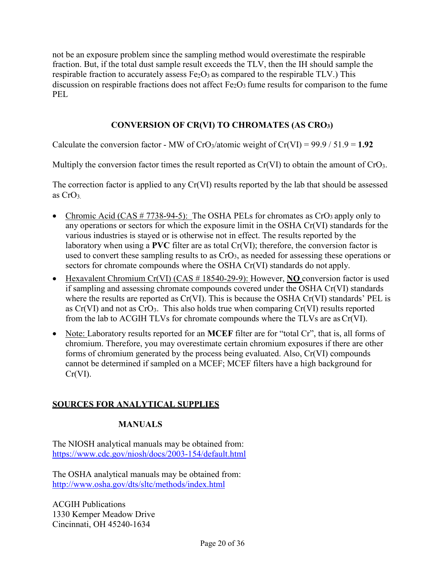not be an exposure problem since the sampling method would overestimate the respirable fraction. But, if the total dust sample result exceeds the TLV, then the IH should sample the respirable fraction to accurately assess  $Fe<sub>2</sub>O<sub>3</sub>$  as compared to the respirable TLV.) This discussion on respirable fractions does not affect  $Fe<sub>2</sub>O<sub>3</sub>$  fume results for comparison to the fume PEL.

### **CONVERSION OF CR(VI) TO CHROMATES (AS CRO3)**

Calculate the conversion factor - MW of  $CrO_3$ /atomic weight of  $Cr(VI) = 99.9 / 51.9 = 1.92$ 

Multiply the conversion factor times the result reported as Cr(VI) to obtain the amount of CrO<sub>3</sub>.

The correction factor is applied to any Cr(VI) results reported by the lab that should be assessed as  $CrO<sub>3</sub>$ 

- Chromic Acid (CAS # 7738-94-5): The OSHA PELs for chromates as CrO3 apply only to any operations or sectors for which the exposure limit in the OSHA Cr(VI) standards for the various industries is stayed or is otherwise not in effect. The results reported by the laboratory when using a **PVC** filter are as total Cr(VI); therefore, the conversion factor is used to convert these sampling results to as  $CrO<sub>3</sub>$ , as needed for assessing these operations or sectors for chromate compounds where the OSHA Cr(VI) standards do not apply.
- Hexavalent Chromium Cr(VI) (CAS # 18540-29-9): However, **NO** conversion factor is used if sampling and assessing chromate compounds covered under the OSHA Cr(VI) standards where the results are reported as Cr(VI). This is because the OSHA Cr(VI) standards' PEL is as  $Cr(VI)$  and not as  $CrO<sub>3</sub>$ . This also holds true when comparing  $Cr(VI)$  results reported from the lab to ACGIH TLVs for chromate compounds where the TLVs are asCr(VI).
- Note: Laboratory results reported for an **MCEF** filter are for "total Cr", that is, all forms of chromium. Therefore, you may overestimate certain chromium exposures if there are other forms of chromium generated by the process being evaluated. Also, Cr(VI) compounds cannot be determined if sampled on a MCEF; MCEF filters have a high background for  $Cr(VI)$ .

## **SOURCES FOR ANALYTICAL SUPPLIES**

### **MANUALS**

The NIOSH analytical manuals may be obtained from: <https://www.cdc.gov/niosh/docs/2003-154/default.html>

The OSHA analytical manuals may be obtained from: <http://www.osha.gov/dts/sltc/methods/index.html>

ACGIH Publications 1330 Kemper Meadow Drive Cincinnati, OH 45240-1634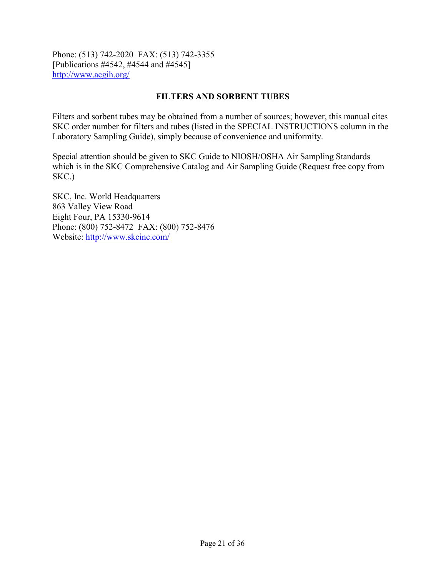Phone: (513) 742-2020 FAX: (513) 742-3355 [Publications #4542, #4544 and #4545] <http://www.acgih.org/>

#### **FILTERS AND SORBENT TUBES**

Filters and sorbent tubes may be obtained from a number of sources; however, this manual cites SKC order number for filters and tubes (listed in the SPECIAL INSTRUCTIONS column in the Laboratory Sampling Guide), simply because of convenience and uniformity.

Special attention should be given to SKC Guide to NIOSH/OSHA Air Sampling Standards which is in the SKC Comprehensive Catalog and Air Sampling Guide (Request free copy from SKC.)

SKC, Inc. World Headquarters 863 Valley View Road Eight Four, PA 15330-9614 Phone: (800) 752-8472 FAX: (800) 752-8476 Website:<http://www.skcinc.com/>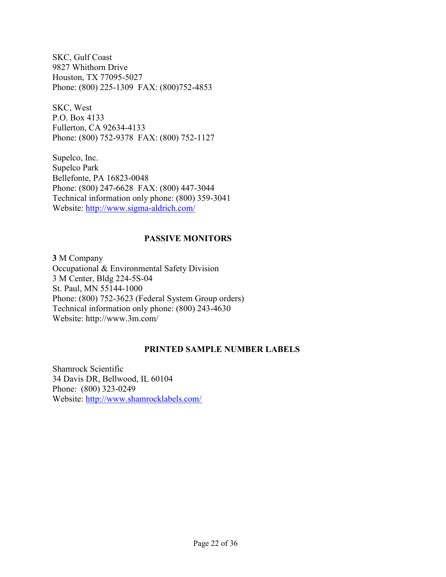SKC, Gulf Coast 9827 Whithorn Drive Houston, TX 77095-5027 Phone: (800) 225-1309 FAX: (800)752-4853

SKC, West P.O. Box 4133 Fullerton, CA 92634-4133 Phone: (800) 752-9378 FAX: (800) 752-1127

Supelco, Inc. Supelco Park Bellefonte, PA 16823-0048 Phone: (800) 247-6628 FAX: (800) 447-3044 Technical information only phone: (800) 359-3041 Website:<http://www.sigma-aldrich.com/>

#### **PASSIVE MONITORS**

**3** M Company Occupational & Environmental Safety Division 3 M Center, Bldg 224-5S-04 St. Paul, MN 55144-1000 Phone: (800) 752-3623 (Federal System Group orders) Technical information only phone: (800) 243-4630 Websit[e: http://www.3m.com/](http://www.3m.com/)

#### **PRINTED SAMPLE NUMBER LABELS**

Shamrock Scientific 34 Davis DR, Bellwood, IL 60104 Phone: (800) 323-0249 Website:<http://www.shamrocklabels.com/>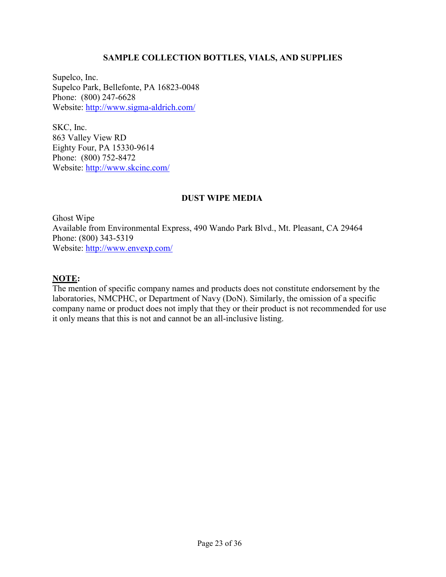### **SAMPLE COLLECTION BOTTLES, VIALS, AND SUPPLIES**

Supelco, Inc. Supelco Park, Bellefonte, PA 16823-0048 Phone: (800) 247-6628 Website:<http://www.sigma-aldrich.com/>

SKC, Inc. 863 Valley View RD Eighty Four, PA 15330-9614 Phone: (800) 752-8472 Website:<http://www.skcinc.com/>

### **DUST WIPE MEDIA**

Ghost Wipe Available from Environmental Express, 490 Wando Park Blvd., Mt. Pleasant, CA 29464 Phone: (800) 343-5319 Website:<http://www.envexp.com/>

### **NOTE:**

The mention of specific company names and products does not constitute endorsement by the laboratories, NMCPHC, or Department of Navy (DoN). Similarly, the omission of a specific company name or product does not imply that they or their product is not recommended for use it only means that this is not and cannot be an all-inclusive listing.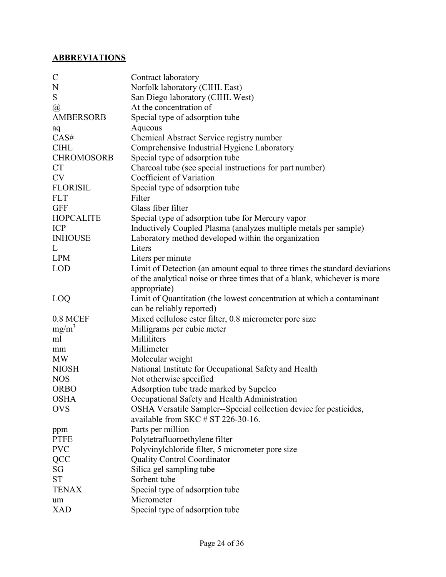# **ABBREVIATIONS**

| $\mathbf C$       | Contract laboratory                                                        |
|-------------------|----------------------------------------------------------------------------|
| N                 | Norfolk laboratory (CIHL East)                                             |
| ${\mathbf S}$     | San Diego laboratory (CIHL West)                                           |
| @                 | At the concentration of                                                    |
| <b>AMBERSORB</b>  | Special type of adsorption tube                                            |
| aq                | Aqueous                                                                    |
| CAS#              | Chemical Abstract Service registry number                                  |
| <b>CIHL</b>       | Comprehensive Industrial Hygiene Laboratory                                |
| <b>CHROMOSORB</b> | Special type of adsorption tube                                            |
| <b>CT</b>         | Charcoal tube (see special instructions for part number)                   |
| <b>CV</b>         | Coefficient of Variation                                                   |
| <b>FLORISIL</b>   | Special type of adsorption tube                                            |
| <b>FLT</b>        | Filter                                                                     |
| <b>GFF</b>        | Glass fiber filter                                                         |
| <b>HOPCALITE</b>  | Special type of adsorption tube for Mercury vapor                          |
| <b>ICP</b>        | Inductively Coupled Plasma (analyzes multiple metals per sample)           |
| <b>INHOUSE</b>    | Laboratory method developed within the organization                        |
| L                 | Liters                                                                     |
| <b>LPM</b>        | Liters per minute                                                          |
| <b>LOD</b>        | Limit of Detection (an amount equal to three times the standard deviations |
|                   | of the analytical noise or three times that of a blank, whichever is more  |
|                   | appropriate)                                                               |
| LOQ               | Limit of Quantitation (the lowest concentration at which a contaminant     |
|                   | can be reliably reported)                                                  |
| 0.8 MCEF          | Mixed cellulose ester filter, 0.8 micrometer pore size                     |
| $mg/m^3$          | Milligrams per cubic meter                                                 |
| ml                | Milliliters                                                                |
| mm                | Millimeter                                                                 |
| <b>MW</b>         | Molecular weight                                                           |
| <b>NIOSH</b>      | National Institute for Occupational Safety and Health                      |
| <b>NOS</b>        | Not otherwise specified                                                    |
| <b>ORBO</b>       | Adsorption tube trade marked by Supelco                                    |
| <b>OSHA</b>       | Occupational Safety and Health Administration                              |
| <b>OVS</b>        | OSHA Versatile Sampler--Special collection device for pesticides,          |
|                   | available from SKC $\#$ ST 226-30-16.                                      |
| ppm               | Parts per million                                                          |
| <b>PTFE</b>       | Polytetrafluoroethylene filter                                             |
| <b>PVC</b>        | Polyvinylchloride filter, 5 micrometer pore size                           |
| <b>QCC</b>        | <b>Quality Control Coordinator</b>                                         |
| SG                | Silica gel sampling tube                                                   |
| <b>ST</b>         | Sorbent tube                                                               |
| <b>TENAX</b>      | Special type of adsorption tube                                            |
| um                | Micrometer                                                                 |
| <b>XAD</b>        | Special type of adsorption tube                                            |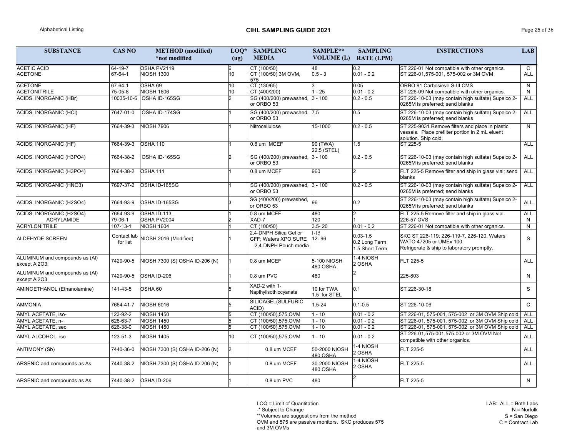LAB: ALL = Both Labs N = Norfolk S = San Diego  $C =$  Contract Lab

LOQ = Limit of Quantitation

-\* Subject to Change

\*\*Volumes are suggestions from the method

OVM and 575 are passive monitors. SKC produces 575 and 3M OVMs

| <b>SUBSTANCE</b>                               | <b>CAS NO</b>           | <b>METHOD</b> (modified)       | $LOQ*$ | <b>SAMPLING</b>                                                        | SAMPLE**                         | <b>SAMPLING</b>                                 | <b>INSTRUCTIONS</b>                                                                                                        | <b>LAB</b>   |
|------------------------------------------------|-------------------------|--------------------------------|--------|------------------------------------------------------------------------|----------------------------------|-------------------------------------------------|----------------------------------------------------------------------------------------------------------------------------|--------------|
|                                                |                         | *not modified                  | (ug)   | <b>MEDIA</b>                                                           | <b>VOLUME</b> (L)                | <b>RATE (LPM)</b>                               |                                                                                                                            |              |
| <b>ACETIC ACID</b>                             | 64-19-7                 | OSHA PV2119                    |        | CT (100/50)                                                            | 48                               | 0.2                                             | ST 226-01 Not compatible with other organics.                                                                              | $\mathsf{C}$ |
| <b>ACETONE</b>                                 | 67-64-1                 | <b>NIOSH 1300</b>              | 10     | CT (100/50) 3M OVM,<br>575                                             | $0.5 - 3$                        | $0.01 - 0.2$                                    | ST 226-01,575-001, 575-002 or 3M OVM                                                                                       | <b>ALL</b>   |
| <b>ACETONE</b>                                 | 67-64-1                 | OSHA 69                        | 10     | CT(130/65)                                                             | 3                                | 0.05                                            | ORBO 91 Carbosieve S-III CMS                                                                                               | N            |
| <b>ACETONITRILE</b>                            | 75-05-8                 | <b>NIOSH 1606</b>              | 10     | CT (400/200)                                                           | $-25$                            | $0.01 - 0.2$                                    | ST 226-09 Not compatible with other organics.                                                                              | $\mathsf{N}$ |
| ACIDS, INORGANIC (HBr)                         |                         | 10035-10-6 OSHA ID-165SG       |        | SG (400/200) prewashed,<br>or ORBO 53                                  | $3 - 100$                        | $0.2 - 0.5$                                     | ST 226-10-03 (may contain high sulfate) Supelco 2-<br>0265M is preferred; send blanks                                      | <b>ALL</b>   |
| ACIDS, INORGANIC (HCI)                         | 7647-01-0               | OSHA ID-174SG                  |        | SG (400/200) prewashed,  7.5<br>or ORBO 53                             |                                  | 0.5                                             | ST 226-10-03 (may contain high sulfate) Supelco 2-<br>0265M is preferred; send blanks                                      | <b>ALL</b>   |
| ACIDS, INORGANIC (HF)                          | 7664-39-3               | <b>NIOSH 7906</b>              |        | Nitrocellulose                                                         | 15-1000                          | $0.2 - 0.5$                                     | ST 225-9031 Remove filters and place in plastic<br>vessels. Place prefilter portion in 2 mL eluent<br>solution. Ship cold. | N            |
| ACIDS, INORGANIC (HF)                          | 7664-39-3               | <b>OSHA 110</b>                |        | 0.8 um MCEF                                                            | 90 (TWA)<br>22.5 (STEL)          | 1.5                                             | ST 225-5                                                                                                                   | <b>ALL</b>   |
| ACIDS, INORGANIC (H3PO4)                       | 7664-38-2               | OSHA ID-165SG                  |        | SG (400/200) prewashed,<br>or ORBO 53                                  | $3 - 100$                        | $0.2 - 0.5$                                     | ST 226-10-03 (may contain high sulfate) Supelco 2-<br>0265M is preferred; send blanks                                      | <b>ALL</b>   |
| ACIDS, INORGANIC (H3PO4)                       | 7664-38-2               | OSHA 111                       |        | 0.8 um MCEF                                                            | 960                              | 12                                              | FLT 225-5 Remove filter and ship in glass vial; send<br>blanks                                                             | <b>ALL</b>   |
| ACIDS, INORGANIC (HNO3)                        | 7697-37-2               | OSHA ID-165SG                  |        | SG (400/200) prewashed, 3 - 100<br>or ORBO 53                          |                                  | $0.2 - 0.5$                                     | ST 226-10-03 (may contain high sulfate) Supelco 2-<br>0265M is preferred; send blanks                                      | <b>ALL</b>   |
| ACIDS, INORGANIC (H2SO4)                       | 7664-93-9               | OSHA ID-165SG                  |        | SG (400/200) prewashed,<br>or ORBO 53                                  | 96                               | 0.2                                             | ST 226-10-03 (may contain high sulfate) Supelco 2-<br>0265M is preferred; send blanks                                      | <b>ALL</b>   |
| ACIDS, INORGANIC (H2SO4)                       | 7664-93-9               | OSHA ID-113                    |        | 0.8 um MCEF                                                            | 480                              | $\overline{2}$                                  | FLT 225-5 Remove filter and ship in glass vial.                                                                            | <b>ALL</b>   |
| <b>ACRYLAMIDE</b>                              | 79-06-1                 | OSHA PV2004                    |        | XAD-7                                                                  | 120                              |                                                 | 226-57 OVS                                                                                                                 | N.           |
| <b>ACRYLONITRILE</b>                           | $107 - 13 - 1$          | <b>NIOSH 1604</b>              |        | CT (100/50)                                                            | $3.5 - 20$                       | $0.01 - 0.2$                                    | ST 226-01 Not compatible with other organics.                                                                              | N            |
| <b>ALDEHYDE SCREEN</b>                         | Contact lab<br>for list | NIOSH 2016 (Modified)          |        | 2,4-DNPH Silica Gel or<br>GFF; Waters XPO SURE<br>2,4-DNPH Pouch media | $-15$<br>12-96                   | $0.03 - 1.5$<br>0.2 Long Term<br>1.5 Short Term | SKC ST 226-119, 226-119-7, 226-120, Waters<br>WATO 47205 or UMEx 100.<br>Refrigerate & ship to laboratory promptly.        | $\mathsf{S}$ |
| ALUMINUM and compounds as (AI)<br>except Al2O3 | 7429-90-5               | NIOSH 7300 (S) OSHA ID-206 (N) |        | 0.8 um MCEF                                                            | 5-100 NIOSH<br>480 OSHA          | 1-4 NIOSH<br>2 OSHA                             | FLT 225-5                                                                                                                  | <b>ALL</b>   |
| ALUMINUM and compounds as (AI)<br>except Al2O3 | 7429-90-5               | OSHA ID-206                    |        | 0.8 um PVC                                                             | 480                              | $\mathcal{D}$                                   | 225-803                                                                                                                    | N.           |
| AMINOETHANOL (Ethanolamine)                    | 141-43-5                | OSHA 60                        |        | XAD-2 with 1-<br>Napthylisothiocyanate                                 | 10 for TWA<br>1.5 for STEL       | 0.1                                             | ST 226-30-18                                                                                                               | S            |
| <b>AMMONIA</b>                                 | 7664-41-7               | <b>NIOSH 6016</b>              |        | SILICAGEL(SULFURIC<br>ACID)                                            | $1.5 - 24$                       | $0.1 - 0.5$                                     | ST 226-10-06                                                                                                               | C            |
| AMYL ACETATE, iso-                             | 123-92-2                | <b>NIOSH 1450</b>              |        | CT (100/50),575,OVM                                                    | $1 - 10$                         | $0.01 - 0.2$                                    | ST 226-01, 575-001, 575-002 or 3M OVM Ship cold                                                                            | ALL          |
| AMYL ACETATE, n-                               | 628-63-7                | <b>NIOSH 1450</b>              |        | CT (100/50),575,OVM                                                    | 1 - 10                           | $0.01 - 0.2$                                    | ST 226-01, 575-001, 575-002 or 3M OVM Ship cold                                                                            | <b>ALL</b>   |
| AMYL ACETATE, sec                              | 626-38-0                | <b>NIOSH 1450</b>              |        | CT (100/50),575,OVM                                                    | 1 - 10                           | $0.01 - 0.2$                                    | ST 226-01, 575-001, 575-002 or 3M OVM Ship cold                                                                            | <b>ALL</b>   |
| AMYL ALCOHOL, iso                              | 123-51-3                | <b>NIOSH 1405</b>              | 10     | CT (100/50),575,OVM                                                    | 1 - 10                           | $0.01 - 0.2$                                    | ST 226-01,575-001,575-002 or 3M OVM Not<br>compatible with other organics.                                                 | <b>ALL</b>   |
| <b>ANTIMONY (Sb)</b>                           | 7440-36-0               | NIOSH 7300 (S) OSHA ID-206 (N) |        | 0.8 um MCEF                                                            | 50-2000 NIOSH<br><b>480 OSHA</b> | 1-4 NIOSH<br>2 OSHA                             | <b>FLT 225-5</b>                                                                                                           | <b>ALL</b>   |
| ARSENIC and compounds as As                    | 7440-38-2               | NIOSH 7300 (S) OSHA ID-206 (N) |        | 0.8 um MCEF                                                            | 30-2000 NIOSH<br>480 OSHA        | 1-4 NIOSH<br>2 OSHA                             | FLT 225-5                                                                                                                  | <b>ALL</b>   |
| ARSENIC and compounds as As                    | 7440-38-2               | OSHA ID-206                    |        | 0.8 um PVC                                                             | 480                              |                                                 | <b>FLT 225-5</b>                                                                                                           | N.           |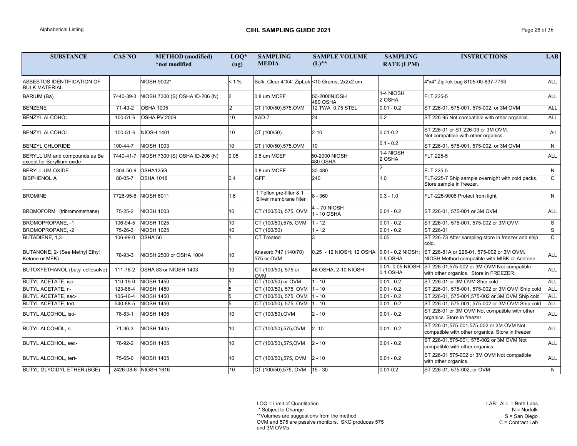LOQ = Limit of Quantitation

-\* Subject to Change

\*\*Volumes are suggestions from the method

OVM and 575 are passive monitors. SKC produces 575 and 3M OVMs

| <b>SUBSTANCE</b>                                            | <b>CAS NO</b> | <b>METHOD</b> (modified)<br>*not modified | $LOQ*$<br>(ug)  | <b>SAMPLING</b><br><b>MEDIA</b>                   | <b>SAMPLE VOLUME</b><br>$(L)$ **           | <b>SAMPLING</b><br><b>RATE (LPM)</b> | <b>INSTRUCTIONS</b>                                                                         | <b>LAB</b>     |
|-------------------------------------------------------------|---------------|-------------------------------------------|-----------------|---------------------------------------------------|--------------------------------------------|--------------------------------------|---------------------------------------------------------------------------------------------|----------------|
| ASBESTOS IDENTIFICATION OF<br><b>BULK MATERIAL</b>          |               | NIOSH 9002*                               | < 1 %           | Bulk, Clear 4"X4" ZipLok < 10 Grams, 2x2x2 cm     |                                            |                                      | 4"x4" Zip-lok bag 8105-00-837-7753                                                          | ALL            |
| BARIUM (Ba)                                                 | 7440-39-3     | NIOSH 7300 (S) OSHA ID-206 (N)            |                 | 0.8 um MCEF                                       | 50-2000NIOSH<br>480 OSHA                   | 1-4 NIOSH<br>2 OSHA                  | FLT 225-5                                                                                   | ALL            |
| <b>BENZENE</b>                                              | 71-43-2       | <b>OSHA 1005</b>                          |                 | CT (100/50),575, OVM                              | 12 TWA 0.75 STEL                           | $0.01 - 0.2$                         | ST 226-01, 575-001, 575-002, or 3M OVM                                                      | <b>ALL</b>     |
| <b>BENZYL ALCOHOL</b>                                       | 100-51-6      | OSHA PV 2009                              | 10 <sup>°</sup> | XAD-7                                             | 24                                         | 0.2                                  | ST 226-95 Not compatible with other organics.                                               | <b>ALL</b>     |
| <b>BENZYL ALCOHOL</b>                                       | 100-51-6      | NIOSH 1401                                | 10              | CT (100/50)                                       | $2 - 10$                                   | $0.01 - 0.2$                         | ST 226-01 or ST 226-09 or 3M OVM.<br>Not compatible with other organics.                    | All            |
| <b>BENZYL CHLORIDE</b>                                      | 100-44-7      | <b>NIOSH 1003</b>                         | 10              | CT (100/50),575,OVM                               | 10                                         | $0.1 - 0.2$                          | ST 226-01, 575-001, 575-002, or 3M OVM                                                      | N              |
| BERYLLIUM and compounds as Be<br>except for Beryllium oxide | 7440-41-7     | NIOSH 7300 (S) OSHA ID-206 (N)            | 0.05            | 0.8 um MCEF                                       | 50-2000 NIOSH<br>480 OSHA                  | 1-4 NIOSH<br>2 OSHA                  | FLT 225-5                                                                                   | <b>ALL</b>     |
| <b>BERYLLIUM OXIDE</b>                                      | 1304-56-9     | OSHA125G                                  |                 | 0.8 um MCEF                                       | 30-480                                     |                                      | FLT 225-5                                                                                   | N              |
| <b>BISPHENOL A</b>                                          | 80-05-7       | <b>OSHA 1018</b>                          | 0.4             | <b>GFF</b>                                        | 240                                        | 1.0                                  | FLT-225-7 Ship sample overnight with cold packs.<br>Store sample in freezer.                | $\mathsf{C}^-$ |
| <b>BROMINE</b>                                              |               | 7726-95-6 NIOSH 6011                      | $.6\,$          | 1 Teflon pre-filter & 1<br>Silver membrane filter | $8 - 360$                                  | $0.3 - 1.0$                          | FLT-225-9006 Protect from light                                                             | N.             |
| BROMOFORM (tribromomethane)                                 | 75-25-2       | <b>NIOSH 1003</b>                         | 10.             | CT (100/50), 575, OVM                             | $4 - 70$ NIOSH<br>- 10 OSHA                | $ 0.01 - 0.2 $                       | ST 226-01, 575-001 or 3M OVM                                                                | <b>ALL</b>     |
| <b>BROMOPROPANE, -1</b>                                     | 106-94-5      | <b>NIOSH 1025</b>                         | 10              | CT (100/50),575, OVM                              | $1 - 12$                                   | $0.01 - 0.2$                         | ST 226-01, 575-001, 575-002 or 3M OVM                                                       | S.             |
| BROMOPROPANE, -2                                            | 75-26-3       | <b>NIOSH 1025</b>                         | 10              | CT (100/50)                                       | $1 - 12$                                   | $0.01 - 0.2$                         | ST 226-01                                                                                   | S              |
| BUTADIENE, 1,3-                                             | 106-99-0      | OSHA 56                                   |                 | <b>CT Treated</b>                                 | વ                                          | 0.05                                 | ST 226-73 After sampling store in freezer and ship<br>cold.                                 | $\mathsf{C}$   |
| BUTANONE, 2- (See Methyl Ethyl<br>Ketone or MEK)            | 78-93-3       | NIOSH 2500 or OSHA 1004                   | 10.             | Anasorb 747 (140/70)<br>575 or OVM                | 0.25 - 12 NIOSH; 12 OSHA 0.01 - 0.2 NIOSH; | 0.5 OSHA                             | ST 226-81A or 226-01, 575-002 or 3M OVM.<br>NIOSH Method compatible with MIBK or Acetone.   | <b>ALL</b>     |
| BUTOXYETHANOL (butyl cellosolve)                            |               | 111-76-2 <b>OSHA 83 or NIOSH 1403</b>     |                 | CT (100/50), 575 or<br><b>OVM</b>                 | 48 OSHA; 2-10 NIOSH                        | 0.01-0.05 NIOSH<br>0.1 OSHA          | ST 226-01,575-002 or 3M OVM Not compatible<br>with other organics. Store in FREEZER.        | ALL            |
| <b>BUTYL ACETATE, iso-</b>                                  |               | 110-19-0 NIOSH 1450                       |                 | CT (100/50) or OVM                                | $1 - 10$                                   | $0.01 - 0.2$                         | ST 226-01 or 3M OVM Ship cold                                                               | ALL            |
| BUTYL ACETATE, n-                                           | 123-86-4      | <b>NIOSH 1450</b>                         |                 | CT (100/50), 575, OVM  1 - 10                     |                                            | $0.01 - 0.2$                         | ST 226-01, 575-001, 575-002 or 3M OVM Ship cold                                             | ALL            |
| <b>BUTYL ACETATE, sec-</b>                                  | 105-46-4      | <b>NIOSH 1450</b>                         |                 | CT (100/50), 575, OVM 1 - 10                      |                                            | $0.01 - 0.2$                         | ST 226-01, 575-001,575-002 or 3M OVM Ship cold                                              | ALL            |
| <b>BUTYL ACETATE, tert-</b>                                 | 540-88-5      | <b>NIOSH 1450</b>                         |                 | $\overline{CT}$ (100/50), 575, OVM  1 - 10        |                                            | $0.01 - 0.2$                         | ST 226-01, 575-001, 575-002 or 3M OVM Ship cold                                             | ALL            |
| <b>BUTYL ALCOHOL, iso-</b>                                  | 78-83-1       | <b>NIOSH 1405</b>                         | 10              | CT (100/50), OVM                                  | $2 - 10$                                   | $0.01 - 0.2$                         | ST 226-01 or 3M OVM Not compatible with other<br>organics. Store in freezer                 | ALL            |
| BUTYL ALCOHOL, n-                                           | 71-36-3       | <b>NIOSH 1405</b>                         | 10              | CT (100/50),575,OVM                               | $2 - 10$                                   | $0.01 - 0.2$                         | ST 226-01,575-001,575-002 or 3M OVM Not<br>compatible with other organics. Store in freezer | ALL            |
| <b>BUTYL ALCOHOL, sec-</b>                                  | 78-92-2       | <b>NIOSH 1405</b>                         | 10              | CT (100/50),575,OVM                               | $2 - 10$                                   | $0.01 - 0.2$                         | ST 226-01,575-001, 575-002 or 3M OVM Not<br>compatible with other organics.                 | ALL            |
| <b>BUTYL ALCOHOL, tert-</b>                                 | 75-65-0       | <b>NIOSH 1405</b>                         | 10              | CT (100/50),575, OVM                              | $2 - 10$                                   | $0.01 - 0.2$                         | ST 226-01 575-002 or 3M OVM Not compatible<br>with other organics.                          | ALL            |
| <b>BUTYL GLYCIDYL ETHER (BGE)</b>                           |               | 2426-08-6 NIOSH 1616                      | 10 <sub>1</sub> | CT (100/50),575, OVM                              | $15 - 30$                                  | $0.01 - 0.2$                         | ST 226-01, 575-002, or OVM                                                                  | N              |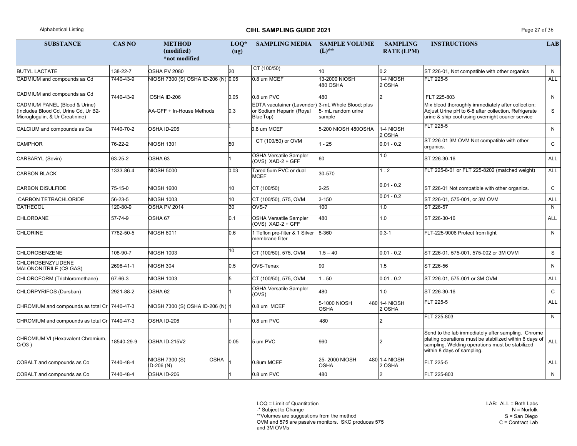## Alphabetical Listing **CIHL SAMPLING GUIDE 2021** Page 27 of 36

LAB: ALL = Both Labs N = Norfolk S = San Diego  $C =$  Contract Lab

LOQ = Limit of Quantitation

-\* Subject to Change

\*\*Volumes are suggestions from the method

OVM and 575 are passive monitors. SKC produces 575

| <b>SUBSTANCE</b>                                                                                         | <b>CAS NO</b> | <b>METHOD</b><br>(modified)<br>*not modified       | $LOQ*$<br>(ug) | <b>SAMPLING MEDIA</b>                                                                      | <b>SAMPLE VOLUME</b><br>$(L)$ ** | <b>SAMPLING</b><br><b>RATE (LPM)</b> | <b>INSTRUCTIONS</b>                                                                                                                                                                           | <b>LAB</b>   |
|----------------------------------------------------------------------------------------------------------|---------------|----------------------------------------------------|----------------|--------------------------------------------------------------------------------------------|----------------------------------|--------------------------------------|-----------------------------------------------------------------------------------------------------------------------------------------------------------------------------------------------|--------------|
| <b>BUTYL LACTATE</b>                                                                                     | 138-22-7      | OSHA PV 2080                                       | 20             | CT (100/50)                                                                                | 10 <sup>1</sup>                  | 0.2                                  | ST 226-01, Not compatible with other organics                                                                                                                                                 | N            |
| CADMIUM and compounds as Cd                                                                              | 7440-43-9     | NIOSH 7300 (S) OSHA ID-206 (N) 0.05                |                | 0.8 um MCEF                                                                                | 13-2000 NIOSH<br>480 OSHA        | 1-4 NIOSH<br>2 OSHA                  | <b>FLT 225-5</b>                                                                                                                                                                              | <b>ALL</b>   |
| CADMIUM and compounds as Cd                                                                              | 7440-43-9     | OSHA ID-206                                        | 0.05           | 0.8 um PVC                                                                                 | 480                              |                                      | FLT 225-803                                                                                                                                                                                   | N            |
| CADMIUM PANEL (Blood & Urine)<br>(Includes Blood Cd, Urine Cd, Ur B2-<br>Microglogulin, & Ur Creatinine) |               | AA-GFF + In-House Methods                          | 0.3            | EDTA vacutainer (Lavender) 3-mL Whole Blood; plus<br>or Sodium Heparin (Royal<br>Blue Top) | 5- mL random urine<br>sample     |                                      | Mix blood thoroughly immediately after collection;<br>Adjust Urine pH to 6-8 after collection. Refrigerate<br>urine & ship cool using overnight courier service                               | S            |
| CALCIUM and compounds as Ca                                                                              | 7440-70-2     | OSHA ID-206                                        |                | 0.8 um MCEF                                                                                | 5-200 NIOSH 480OSHA              | 1-4 NIOSH<br>2 OSHA                  | FLT 225-5                                                                                                                                                                                     | N            |
| <b>CAMPHOR</b>                                                                                           | 76-22-2       | <b>NIOSH 1301</b>                                  | 50             | CT (100/50) or OVM                                                                         | $1 - 25$                         | $0.01 - 0.2$                         | ST 226-01 3M OVM Not compatible with other<br>organics.                                                                                                                                       | $\mathsf{C}$ |
| CARBARYL (Sevin)                                                                                         | 63-25-2       | OSHA 63                                            |                | <b>OSHA Versatile Sampler</b><br>(OVS) XAD-2 + GFF                                         | 60                               | 1.0                                  | ST 226-30-16                                                                                                                                                                                  | <b>ALL</b>   |
| <b>CARBON BLACK</b>                                                                                      | 1333-86-4     | <b>NIOSH 5000</b>                                  | 0.03           | Tared 5um PVC or dual<br><b>MCEF</b>                                                       | 30-570                           | $1 - 2$                              | FLT 225-8-01 or FLT 225-8202 (matched weight)                                                                                                                                                 | <b>ALL</b>   |
| <b>CARBON DISULFIDE</b>                                                                                  | 75-15-0       | <b>NIOSH 1600</b>                                  | 10             | CT (100/50)                                                                                | $2 - 25$                         | $0.01 - 0.2$                         | ST 226-01 Not compatible with other organics.                                                                                                                                                 | $\mathsf{C}$ |
| <b>CARBON TETRACHLORIDE</b>                                                                              | 56-23-5       | NIOSH 1003                                         | 10             | CT (100/50), 575, OVM                                                                      | $3 - 150$                        | $0.01 - 0.2$                         | ST 226-01, 575-001, or 3M OVM                                                                                                                                                                 | <b>ALL</b>   |
| CATHECOL                                                                                                 | 120-80-9      | OSHA PV 2014                                       | 30             | OVS-7                                                                                      | 100                              | 1.0                                  | ST 226-57                                                                                                                                                                                     | N.           |
| <b>CHLORDANE</b>                                                                                         | 57-74-9       | OSHA 67                                            | 0.1            | <b>OSHA Versatile Sampler</b><br>(OVS) XAD-2 + GFF                                         | 480                              | 1.0                                  | ST 226-30-16                                                                                                                                                                                  | <b>ALL</b>   |
| <b>CHLORINE</b>                                                                                          | 7782-50-5     | <b>NIOSH 6011</b>                                  | 0.6            | 1 Teflon pre-filter & 1 Silver<br>membrane filter                                          | 8-360                            | $0.3 - 1$                            | FLT-225-9006 Protect from light                                                                                                                                                               | N            |
| <b>CHLOROBENZENE</b>                                                                                     | 108-90-7      | <b>NIOSH 1003</b>                                  | 10             | CT (100/50), 575, OVM                                                                      | $1.5 - 40$                       | $0.01 - 0.2$                         | ST 226-01, 575-001, 575-002 or 3M OVM                                                                                                                                                         | S            |
| <b>CHLOROBENZYLIDENE</b><br>MALONONITRILE (CS GAS)                                                       | 2698-41-1     | NIOSH 304                                          | 0.5            | <b>OVS-Tenax</b>                                                                           | 90                               | 1.5                                  | ST 226-56                                                                                                                                                                                     | N            |
| CHLOROFORM (Trichloromethane)                                                                            | 67-66-3       | <b>NIOSH 1003</b>                                  |                | CT (100/50), 575, OVM                                                                      | $-50$                            | $ 0.01 - 0.2 $                       | ST 226-01, 575-001 or 3M OVM                                                                                                                                                                  | <b>ALL</b>   |
| CHLORPYRIFOS (Dursban)                                                                                   | 2921-88-2     | OSHA 62                                            |                | <b>OSHA Versatile Sampler</b><br>(OVS)                                                     | 480                              | 1.0                                  | ST 226-30-16                                                                                                                                                                                  | $\mathsf{C}$ |
| CHROMIUM and compounds as total Cr   7440-47-3                                                           |               | NIOSH 7300 (S) OSHA ID-206 (N) 1                   |                | 0.8 um MCEF                                                                                | 5-1000 NIOSH<br><b>OSHA</b>      | 480 1-4 NIOSH<br>$2$ OSHA            | FLT 225-5                                                                                                                                                                                     | <b>ALL</b>   |
| CHROMIUM and compounds as total Cr   7440-47-3                                                           |               | OSHA ID-206                                        |                | 0.8 um PVC                                                                                 | 480                              |                                      | FLT 225-803                                                                                                                                                                                   | N            |
| CHROMIUM VI (Hexavalent Chromium,<br>$CrO3$ )                                                            | 18540-29-9    | OSHA ID-215V2                                      | 0.05           | 5 um PVC                                                                                   | 960                              |                                      | Send to the lab immediately after sampling. Chrome<br>plating operations must be stabilized within 6 days of<br>sampling. Welding operations must be stabilized<br>within 8 days of sampling. | <b>ALL</b>   |
| COBALT and compounds as Co                                                                               | 7440-48-4     | <b>NIOSH 7300 (S)</b><br><b>OSHA</b><br>ID-206 (N) |                | 0.8um MCEF                                                                                 | 25-2000 NIOSH<br><b>OSHA</b>     | 480 1-4 NIOSH<br>2 OSHA              | FLT 225-5                                                                                                                                                                                     | <b>ALL</b>   |
| COBALT and compounds as Co                                                                               | 7440-48-4     | OSHA ID-206                                        |                | 0.8 um PVC                                                                                 | 480                              | $\overline{2}$                       | FLT 225-803                                                                                                                                                                                   | N            |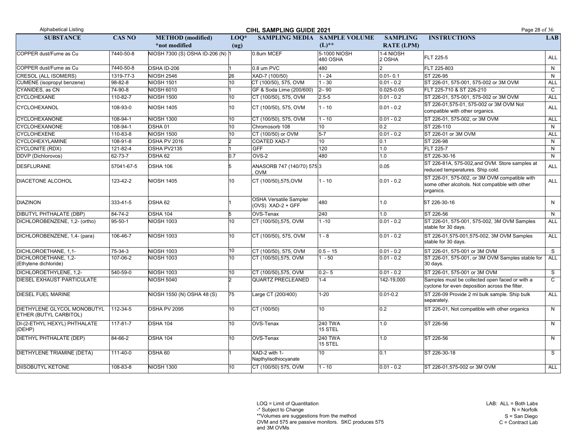LAB: ALL = Both Labs N = Norfolk S = San Diego  $C =$  Contract Lab

LOQ = Limit of Quantitation

-\* Subject to Change

\*\*Volumes are suggestions from the method

OVM and 575 are passive monitors. SKC produces 575

| <b>Alphabetical Listing</b>                                  |               |                                  | Page 28 of 36   |                                                    |                           |                     |                                                                                                              |              |
|--------------------------------------------------------------|---------------|----------------------------------|-----------------|----------------------------------------------------|---------------------------|---------------------|--------------------------------------------------------------------------------------------------------------|--------------|
| <b>SUBSTANCE</b>                                             | <b>CAS NO</b> | <b>METHOD</b> (modified)         | $LOQ*$          | <b>SAMPLING MEDIA</b>                              | <b>SAMPLE VOLUME</b>      | <b>SAMPLING</b>     | <b>INSTRUCTIONS</b>                                                                                          | <b>LAB</b>   |
|                                                              |               | *not modified                    | (ug)            |                                                    | $(L)$ **                  | <b>RATE (LPM)</b>   |                                                                                                              |              |
| COPPER dust/Fume as Cu                                       | 7440-50-8     | NIOSH 7300 (S) OSHA ID-206 (N) 1 |                 | 0.8um MCEF                                         | 5-1000 NIOSH<br>480 OSHA  | 1-4 NIOSH<br>2 OSHA | FLT 225-5                                                                                                    | <b>ALL</b>   |
| COPPER dust/Fume as Cu                                       | 7440-50-8     | OSHA ID-206                      |                 | 0.8 um PVC                                         | 480                       |                     | FLT 225-803                                                                                                  | N.           |
| CRESOL (ALL ISOMERS)                                         | 1319-77-3     | <b>NIOSH 2546</b>                | 26              | XAD-7 (100/50)                                     | $1 - 24$                  | $0.01 - 0.1$        | ST 226-95                                                                                                    | N.           |
| CUMENE (isopropyl benzene)                                   | 98-82-8       | <b>NIOSH 1501</b>                | 10 <sup>1</sup> | CT (100/50), 575, OVM                              | $-30$                     | $0.01 - 0.2$        | ST 226-01, 575-001, 575-002 or 3M OVM                                                                        | <b>ALL</b>   |
| CYANIDES, as CN                                              | 74-90-8       | <b>NIOSH 6010</b>                |                 | GF & Soda Lime (200/600)                           | $ 2 - 90 $                | $0.025 - 0.05$      | FLT 225-710 & ST 226-210                                                                                     | $\mathsf{C}$ |
| <b>CYCLOHEXANE</b>                                           | 110-82-7      | <b>NIOSH 1500</b>                | 10 <sup>°</sup> | CT (100/50), 575, OVM                              | $2.5 - 5$                 | $0.01 - 0.2$        | ST 226-01, 575-001, 575-002 or 3M OVM                                                                        | <b>ALL</b>   |
| <b>CYCLOHEXANOL</b>                                          | 108-93-0      | <b>NIOSH 1405</b>                | 10              | CT (100/50), 575, OVM                              | $-10$                     | $0.01 - 0.2$        | ST 226-01,575-01, 575-002 or 3M OVM Not<br>compatible with other organics.                                   | ALL          |
| <b>CYCLOHEXANONE</b>                                         | 108-94-1      | <b>NIOSH 1300</b>                | 10              | CT (100/50), 575, OVM                              | $-10$                     | $0.01 - 0.2$        | ST 226-01, 575-002, or 3M OVM                                                                                | <b>ALL</b>   |
| <b>CYCLOHEXANONE</b>                                         | 108-94-1      | OSHA <sub>01</sub>               | 10 <sup>1</sup> | Chromosorb 108                                     | 10 <sup>1</sup>           | 0.2                 | ST 226-110                                                                                                   | N.           |
| <b>CYCLOHEXENE</b>                                           | 110-83-8      | <b>NIOSH 1500</b>                | 10 <sup>°</sup> | CT (100/50) or OVM                                 | $5-7$                     | $0.01 - 0.2$        | ST 226-01 or 3M OVM                                                                                          | <b>ALL</b>   |
| <b>CYCLOHEXYLAMINE</b>                                       | 108-91-8      | OSHA PV 2016                     |                 | COATED XAD-7                                       | 10 <sup>1</sup>           | 0.1                 | ST 226-98                                                                                                    | N            |
| CYCLONITE (RDX)                                              | 121-82-4      | OSHA PV2135                      |                 | <b>GFF</b>                                         | 120                       | 1.0                 | <b>FLT 225-7</b>                                                                                             | N            |
| DDVP (Dichlorovos)                                           | 62-73-7       | OSHA 62                          | 0.7             | OVS-2                                              | 480                       | 1.0                 | ST 226-30-16                                                                                                 | N            |
| DESFLURANE                                                   | 57041-67-5    | OSHA 106                         |                 | ANASORB 747 (140/70) 5753<br>OVM                   |                           | 0.05                | ST 226-81A, 575-002, and OVM. Store samples at<br>reduced temperatures. Ship cold.                           | ALL          |
| <b>DIACETONE ALCOHOL</b>                                     | 123-42-2      | <b>NIOSH 1405</b>                | 10              | CT (100/50),575,OVM                                | $1 - 10$                  | $0.01 - 0.2$        | ST 226-01, 575-002, or 3M OVM compatible with<br>some other alcohols. Not compatible with other<br>organics. | ALL          |
| <b>DIAZINON</b>                                              | 333-41-5      | OSHA 62                          |                 | <b>OSHA Versatile Sampler</b><br>(OVS) XAD-2 + GFF | 480                       | 1.0                 | ST 226-30-16                                                                                                 | N            |
| <b>DIBUTYL PHTHALATE (DBP)</b>                               | 84-74-2       | <b>OSHA 104</b>                  |                 | OVS-Tenax                                          | 240                       | 1.0                 | ST 226-56                                                                                                    | N.           |
| DICHLOROBENZENE, 1,2- (ortho)                                | $95 - 50 - 1$ | <b>NIOSH 1003</b>                | 10 <sup>°</sup> | CT (100/50),575, OVM                               | $1 - 10$                  | $0.01 - 0.2$        | ST 226-01, 575-001, 575-002, 3M OVM Samples<br>stable for 30 days.                                           | ALL          |
| DICHLOROBENZENE, 1,4- (para)                                 | 106-46-7      | <b>NIOSH 1003</b>                | 10              | CT (100/50), 575, OVM                              | $-8$                      | $0.01 - 0.2$        | ST 226-01,575-001,575-002, 3M OVM Samples<br>stable for 30 days.                                             | <b>ALL</b>   |
| DICHLOROETHANE, 1,1-                                         | 75-34-3       | <b>NIOSH 1003</b>                | 10              | CT (100/50), 575, OVM                              | $0.5 - 15$                | $0.01 - 0.2$        | ST 226-01, 575-001 or 3M OVM                                                                                 | S            |
| DICHLOROETHANE, 1,2-<br>(Ethylene dichloride)                | 107-06-2      | <b>NIOSH 1003</b>                | 10              | CT (100/50),575, OVM                               | $-50$                     | $0.01 - 0.2$        | ST 226-01, 575-001, or 3M OVM Samples stable for   ALL<br>30 days.                                           |              |
| DICHLOROETHYLENE, 1,2-                                       | 540-59-0      | <b>NIOSH 1003</b>                | 10              | CT (100/50),575, OVM                               | $0.2 - 5$                 | $0.01 - 0.2$        | ST 226-01, 575-001 or 3M OVM                                                                                 | S            |
| <b>DIESEL EXHAUST PARTICULATE</b>                            |               | <b>NIOSH 5040</b>                |                 | QUARTZ PRECLEANED                                  | $1 - 4$                   | 142-19,000          | Samples must be collected open faced or with a<br>cyclone for even deposition across the filter.             | $\mathsf{C}$ |
| <b>DIESEL FUEL MARINE</b>                                    |               | NIOSH 1550 (N) OSHA 48 (S)       | $\overline{75}$ | Large CT (200/400)                                 | $1 - 20$                  | $0.01 - 0.2$        | ST 226-09 Provide 2 ml bulk sample. Ship bulk<br>separately.                                                 | ALL          |
| DIETHYLENE GLYCOL MONOBUTYL<br><b>ETHER (BUTYL CARBITOL)</b> | 112-34-5      | OSHA PV 2095                     | 10              | CT (100/50)                                        | 10 <sup>°</sup>           | 0.2                 | ST 226-01, Not compatible with other organics                                                                | N            |
| DI-(2-ETHYL HEXYL) PHTHALATE<br>(DEHP)                       | 117-81-7      | OSHA 104                         | 10 <sup>°</sup> | OVS-Tenax                                          | <b>240 TWA</b><br>15 STEL | 1.0                 | ST 226-56                                                                                                    | N.           |
| DIETHYL PHTHALATE (DEP)                                      | 84-66-2       | <b>OSHA 104</b>                  | 10              | OVS-Tenax                                          | <b>240 TWA</b><br>15 STEL | 1.0                 | ST 226-56                                                                                                    | N            |
| DIETHYLENE TRIAMINE (DETA)                                   | 111-40-0      | OSHA 60                          |                 | XAD-2 with 1-<br>Napthylisothiocyanate             | 10 <sup>1</sup>           | 0.1                 | ST 226-30-18                                                                                                 | S.           |
| <b>DIISOBUTYL KETONE</b>                                     | 108-83-8      | <b>NIOSH 1300</b>                | 10 <sub>1</sub> | CT (100/50) 575, OVM                               | 1 - 10                    | $0.01 - 0.2$        | ST 226-01,575-002 or 3M OVM                                                                                  | <b>ALL</b>   |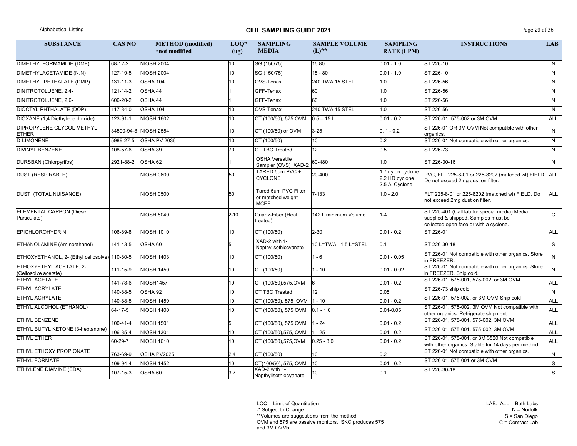# Alphabetical Listing **CIHL SAMPLING GUIDE 2021** Page 29 of 36

LOQ = Limit of Quantitation

-\* Subject to Change

\*\*Volumes are suggestions from the method

OVM and 575 are passive monitors. SKC produces 575 and 3M OVMs

| <b>SUBSTANCE</b>                                | <b>CAS NO</b>  | <b>METHOD</b> (modified)<br>*not modified | $LOQ*$<br>(ug) | <b>SAMPLING</b><br><b>MEDIA</b>                          | <b>SAMPLE VOLUME</b><br>$(L)$ ** | <b>SAMPLING</b><br><b>RATE (LPM)</b>                  | <b>INSTRUCTIONS</b>                                                                                                            | <b>LAB</b>   |
|-------------------------------------------------|----------------|-------------------------------------------|----------------|----------------------------------------------------------|----------------------------------|-------------------------------------------------------|--------------------------------------------------------------------------------------------------------------------------------|--------------|
| DIMETHYLFORMAMIDE (DMF)                         | 68-12-2        | <b>NIOSH 2004</b>                         | 10             | SG (150/75)                                              | 1580                             | $0.01 - 1.0$                                          | ST 226-10                                                                                                                      | N            |
| DIMETHYLACETAMIDE (N,N)                         | 127-19-5       | <b>NIOSH 2004</b>                         | 10             | SG (150/75)                                              | $15 - 80$                        | $0.01 - 1.0$                                          | ST 226-10                                                                                                                      | N.           |
| DIMETHYL PHTHALATE (DMP)                        | $131 - 11 - 3$ | OSHA 104                                  | 10             | OVS-Tenax                                                | 240 TWA 15 STEL                  | 1.0                                                   | ST 226-56                                                                                                                      | N            |
| DINITROTOLUENE, 2,4-                            | 121-14-2       | OSHA 44                                   |                | GFF-Tenax                                                | 60                               | 1.0                                                   | ST 226-56                                                                                                                      | $\mathsf{N}$ |
| DINITROTOLUENE, 2,6-                            | 606-20-2       | OSHA 44                                   |                | GFF-Tenax                                                | 60                               | 1.0                                                   | ST 226-56                                                                                                                      | N            |
| DIOCTYL PHTHALATE (DOP)                         | 117-84-0       | OSHA 104                                  | 10             | OVS-Tenax                                                | 240 TWA 15 STEL                  | 1.0                                                   | ST 226-56                                                                                                                      | N            |
| DIOXANE (1,4 Diethylene dioxide)                | 123-91-1       | <b>NIOSH 1602</b>                         | 10             | CT (100/50), 575, OVM                                    | $0.5 - 15 L$                     | $0.01 - 0.2$                                          | ST 226-01, 575-002 or 3M OVM                                                                                                   | <b>ALL</b>   |
| DIPROPYLENE GLYCOL METHYL<br><b>ETHER</b>       |                | 34590-94-8 NIOSH 2554                     | 10             | CT (100/50) or OVM                                       | $3 - 25$                         | $0.1 - 0.2$                                           | ST 226-01 OR 3M OVM Not compatible with other<br>organics.                                                                     | N            |
| D-LIMONENE                                      | 5989-27-5      | OSHA PV 2036                              | 10             | CT (100/50)                                              | 10                               | 0.2                                                   | ST 226-01 Not compatible with other organics.                                                                                  | N            |
| <b>DIVINYL BENZENE</b>                          | 108-57-6       | OSHA 89                                   | 70             | <b>CT TBC Treated</b>                                    | 12 <sub>2</sub>                  | 0.5                                                   | ST 226-73                                                                                                                      | N            |
| DURSBAN (Chlorpyrifos)                          | 2921-88-2      | OSHA 62                                   |                | <b>OSHA Versatile</b><br>Sampler (OVS) XAD-2             | 60-480                           | 1.0                                                   | ST 226-30-16                                                                                                                   | N            |
| <b>DUST (RESPIRABLE)</b>                        |                | <b>NIOSH 0600</b>                         | 50             | TARED 5um PVC +<br><b>CYCLONE</b>                        | 20-400                           | 1.7 nylon cyclone<br>2.2 HD cyclone<br>2.5 Al Cyclone | PVC, FLT 225-8-01 or 225-8202 (matched wt) FIELD ALL<br>Do not exceed 2mg dust on filter.                                      |              |
| DUST (TOTAL NUISANCE)                           |                | <b>NIOSH 0500</b>                         | 50             | Tared 5um PVC Filter<br>or matched weight<br><b>MCEF</b> | $7 - 133$                        | $1.0 - 2.0$                                           | FLT 225-8-01 or 225-8202 (matched wt) FIELD. Do<br>not exceed 2mg dust on filter.                                              | ALL          |
| <b>ELEMENTAL CARBON (Diesel</b><br>Particulate) |                | <b>NIOSH 5040</b>                         | $2 - 10$       | Quartz-Fiber (Heat<br>treated)                           | 142 L minimum Volume.            | $1 - 4$                                               | ST 225-401 (Call lab for special media) Media<br>supplied & shipped. Samples must be<br>collected open face or with a cyclone. | $\mathsf{C}$ |
| <b>EPICHLOROHYDRIN</b>                          | 106-89-8       | <b>NIOSH 1010</b>                         | 10             | CT (100/50)                                              | $2 - 30$                         | $0.01 - 0.2$                                          | ST 226-01                                                                                                                      | <b>ALL</b>   |
| ETHANOLAMINE (Aminoethanol)                     | 141-43-5       | OSHA 60                                   |                | XAD-2 with 1-<br>Napthylisothiocyanate                   | 10 L=TWA 1.5 L=STEL              | 0.1                                                   | ST 226-30-18                                                                                                                   | S            |
| ETHOXYETHANOL, 2- (Ethyl cellosolve) 110-80-5   |                | <b>NIOSH 1403</b>                         | 10             | CT (100/50)                                              | 1 - 6                            | $0.01 - 0.05$                                         | ST 226-01 Not compatible with other organics. Store<br>in FREEZER.                                                             | N.           |
| ETHOXYETHYL ACETATE, 2-<br>(Cellosolve acetate) | 111-15-9       | <b>NIOSH 1450</b>                         | 10             | CT (100/50)                                              | $1 - 10$                         | $ 0.01 - 0.02 $                                       | ST 226-01 Not compatible with other organics. Store<br>in FREEZER. Ship cold.                                                  | N            |
| <b>ETHYL ACETATE</b>                            | 141-78-6       | NIOSH1457                                 | 10             | CT (100/50),575,OVM                                      |                                  | $ 0.01 - 0.2 $                                        | ST 226-01, 575-001, 575-002, or 3M OVM                                                                                         | ALL          |
| <b>ETHYL ACRYLATE</b>                           | 140-88-5       | OSHA 92                                   | 10             | CT TBC Treated                                           | 12                               | 0.05                                                  | ST 226-73 ship cold                                                                                                            | N.           |
| <b>ETHYL ACRYLATE</b>                           | 140-88-5       | <b>NIOSH 1450</b>                         | 10             | CT (100/50), 575, OVM   1 - 10                           |                                  | $0.01 - 0.2$                                          | ST 226-01, 575-002, or 3M OVM Ship cold                                                                                        | ALL          |
| <b>ETHYL ALCOHOL (ETHANOL)</b>                  | 64-17-5        | <b>NIOSH 1400</b>                         | 10             | CT (100/50), 575, OVM                                    | $0.1 - 1.0$                      | $0.01 - 0.05$                                         | ST 226-01, 575-002, 3M OVM Not compatible with<br>other organics. Refrigerate shipment.                                        | <b>ALL</b>   |
| <b>ETHYL BENZENE</b>                            | 100-41-4       | <b>NIOSH 1501</b>                         |                | CT (100/50), 575, OVM                                    | $1 - 24$                         | $ 0.01 - 0.2 $                                        | ST 226-01, 575-001, 575-002, 3M OVM                                                                                            | ALL          |
| ETHYL BUTYL KETONE (3-heptanone)                | 106-35-4       | <b>NIOSH 1301</b>                         | 10             | CT (100/50),575, OVM                                     | $1 - 25$                         | $0.01 - 0.2$                                          | ST 226-01, 575-001, 575-002, 3M OVM                                                                                            | ALL          |
| <b>ETHYL ETHER</b>                              | 60-29-7        | <b>NIOSH 1610</b>                         | 10             | CT (100/50),575,OVM                                      | $0.25 - 3.0$                     | $ 0.01 - 0.2 $                                        | ST 226-01, 575-001, or 3M 3520 Not compatible<br>with other organics. Stable for 14 days per method.                           | <b>ALL</b>   |
| <b>ETHYL ETHOXY PROPIONATE</b>                  | 763-69-9       | OSHA PV2025                               | 2.4            | CT (100/50)                                              | 10                               | 0.2                                                   | ST 226-01 Not compatible with other organics.                                                                                  | N            |
| <b>ETHYL FORMATE</b>                            | 109-94-4       | <b>NIOSH 1452</b>                         | 10.            | CT(100/50), 575, OVM                                     | 10                               | $0.01 - 0.2$                                          | ST 226-01, 575-001 or 3M OVM                                                                                                   | S            |
| ETHYLENE DIAMINE (EDA)                          | 107-15-3       | OSHA 60                                   | 3.7            | XAD-2 with 1-<br>Napthylisothiocyanate                   | 10                               | 0.1                                                   | ST 226-30-18                                                                                                                   | S            |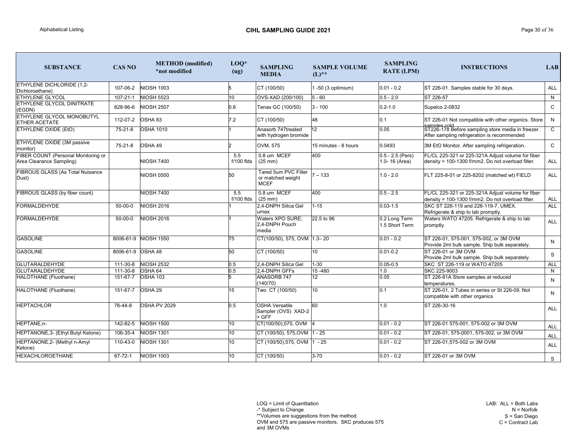LAB: ALL = Both Labs N = Norfolk S = San Diego  $C =$  Contract Lab

-\* Subject to Change

\*\*Volumes are suggestions from the method

OVM and 575 are passive monitors. SKC produces 575 and 3M OVMs

| <b>SUBSTANCE</b>                                                | <b>CAS NO</b>     | <b>METHOD</b> (modified)<br>*not modified | $LOQ*$<br>(ug)      | <b>SAMPLING</b><br><b>MEDIA</b>                          | <b>SAMPLE VOLUME</b><br>$(L)$ ** | <b>SAMPLING</b><br><b>RATE (LPM)</b> | <b>INSTRUCTIONS</b>                                                                                                | <b>LAB</b>   |
|-----------------------------------------------------------------|-------------------|-------------------------------------------|---------------------|----------------------------------------------------------|----------------------------------|--------------------------------------|--------------------------------------------------------------------------------------------------------------------|--------------|
| <b>ETHYLENE DICHLORIDE (1,2-</b><br>Dichloroethane)             | 107-06-2          | <b>NIOSH 1003</b>                         |                     | CT (100/50)                                              | 1-50 (3 optimium)                | $0.01 - 0.2$                         | ST 226-01. Samples stable for 30 days.                                                                             | <b>ALL</b>   |
| <b>ETHYLENE GLYCOL</b>                                          | $107 - 21 - 1$    | <b>NIOSH 5523</b>                         | 10                  | OVS-XAD (200/100)                                        | $5 - 60$                         | $0.5 - 2.0$                          | ST 226-57                                                                                                          | N            |
| ETHYLENE GLYCOL DINITRATE<br>$ $ (EGDN)                         | 628-96-6          | <b>NIOSH 2507</b>                         | 0.6                 | Tenax GC (100/50)                                        | $3 - 100$                        | $0.2 - 1.0$                          | Supelco 2-0832                                                                                                     | $\mathsf{C}$ |
| <b>ETHYLENE GLYCOL MONOBUTYL</b><br><b>ETHER ACETATE</b>        | 112-07-2          | OSHA 83                                   | 7.2                 | CT (100/50)                                              | 48                               | 0.1                                  | ST 226-01 Not compatible with other organics. Store                                                                | N            |
| <b>ETHYLENE OXIDE (EtO)</b>                                     | $75 - 21 - 8$     | <b>OSHA 1010</b>                          |                     | Anasorb 747treated<br>with hydrogen bromide              | 12 <sup>°</sup>                  | 0.05                                 | Isamples cold<br> ST226-178 Before sampling store media in freezer.<br>After sampling refrigeration is recommended | $\mathsf{C}$ |
| <b>ETHYLENE OXIDE (3M passive</b><br>monitor)                   | 75-21-8           | OSHA 49                                   |                     | OVM, 575                                                 | 15 minutes - 8 hours             | 0.0493                               | 3M EtO Monitor. After sampling refrigeration.                                                                      | $\mathsf{C}$ |
| FIBER COUNT (Personal Monitoring or<br>Area Clearance Sampling) |                   | <b>NIOSH 7400</b>                         | 5.5<br>f/100 flds   | 0.8 um MCEF<br>$(25$ mm $)$                              | 400                              | $0.5 - 2.5$ (Pers)<br>1.0-16 (Area)  | FL/CL 225-321 or 225-321A Adjust volume for fiber<br>density = 100-1300 f/mm2. Do not overload filter.             | <b>ALL</b>   |
| <b>FIBROUS GLASS (As Total Nuisance</b><br>Dust)                |                   | <b>NIOSH 0500</b>                         | 50                  | Tared 5um PVC Filter<br>or matched weight<br><b>MCEF</b> | $7 - 133$                        | $1.0 - 2.0$                          | FLT 225-8-01 or 225-8202 (matched wt) FIELD                                                                        | <b>ALL</b>   |
| FIBROUS GLASS (by fiber count)                                  |                   | <b>NIOSH 7400</b>                         | 5.5<br>$f/100$ flds | 0.8 um MCEF<br>$(25 \text{ mm})$                         | 400                              | $0.5 - 2.5$                          | FL/CL 225-321 or 225-321A Adjust volume for fiber<br>density = 100-1300 f/mm2. Do not overload filter.             | <b>ALL</b>   |
| <b>FORMALDEHYDE</b>                                             | $50 - 00 - 0$     | <b>NIOSH 2016</b>                         |                     | 2,4-DNPH Silica Gel<br>umex                              | $1 - 15$                         | $0.03 - 1.5$                         | SKC ST 226-119 and 226-119-7, UMEX.<br>Refrigerate & ship to lab promptly.                                         | <b>ALL</b>   |
| <b>FORMALDEHYDE</b>                                             | $50 - 00 - 0$     | <b>NIOSH 2016</b>                         |                     | <b>Waters XPO SURE;</b><br>2,4-DNPH Pouch<br>media       | 22.5 to 96                       | 0.2 Long Term<br>1.5 Short Term      | Waters WATO 47205. Refrigerate & ship to lab<br>promptly.                                                          | <b>ALL</b>   |
| <b>GASOLINE</b>                                                 |                   | 8006-61-9 NIOSH 1550                      | 75                  | CT(100/50), 575, OVM 1.3-20                              |                                  | $0.01 - 0.2$                         | ST 226-01, 575-001, 575-002, or 3M OVM<br>Provide 2ml bulk sample. Ship bulk separately.                           | $\mathsf{N}$ |
| <b>GASOLINE</b>                                                 | 8006-61-9 OSHA 48 |                                           | 50                  | CT (100/50)                                              | 10 <sup>°</sup>                  | $0.01 - 0.2$                         | ST 226-01 or 3M OVM<br>Provide 2ml bulk sample. Ship bulk separately.                                              | S            |
| <b>GLUTARALDEHYDE</b>                                           | 111-30-8          | <b>NIOSH 2532</b>                         | 0.5                 | 2,4-DNPH Silica Gel                                      | $1 - 30$                         | $0.05 - 0.5$                         | SKC ST 226-119 or WATO 47205                                                                                       | <b>ALL</b>   |
| <b>GLUTARALDEHYDE</b>                                           | 111-30-8          | OSHA 64                                   | 0.5                 | 2,4-DNPH GFFs                                            | 15-480                           | 1.0                                  | SKC 225-9003                                                                                                       | N            |
| HALOTHANE (Fluothane)                                           | 151-67-7          | <b>OSHA 103</b>                           |                     | <b>ANASORB 747</b><br>(140/70)                           | 12 <sub>2</sub>                  | 0.05                                 | ST 226-81A Store samples at reduced<br>temperatures.                                                               | N            |
| HALOTHANE (Fluothane)                                           | 151-67-7          | OSHA 29                                   | 15                  | Two CT (100/50)                                          | 10 <sup>°</sup>                  | $\overline{0.1}$                     | ST 226-01, 2 Tubes in series or St 226-09. Not<br>compatible with other organics                                   | N            |
| <b>HEPTACHLOR</b>                                               | 76-44-8           | OSHA PV 2029                              | 0.5                 | <b>OSHA Versatile</b><br>Sampler (OVS) XAD-2<br>$+$ GFF  | 60                               | 1.0                                  | ST 226-30-16                                                                                                       | <b>ALL</b>   |
| HEPTANE,n-                                                      | 142-82-5          | <b>NIOSH 1500</b>                         | 10                  | $CT(100/50), 575, OVM$ 4                                 |                                  | $0.01 - 0.2$                         | ST 226-01 575-001, 575-002 or 3M OVM                                                                               | ALL          |
| HEPTANONE, 3- (Ethyl Butyl Ketone)                              | 106-35-4          | <b>NIOSH 1301</b>                         | 10                  | $CT(100/50), 575, OVM$ 1 - 25                            |                                  | $0.01 - 0.2$                         | ST 226-01, 575-0001, 575-002, or 3M OVM                                                                            | ALL          |
| HEPTANONE, 2- (Methyl n-Amyl<br>Ketone)                         | 110-43-0          | <b>NIOSH 1301</b>                         | 10                  | CT (100/50),575, OVM 1 - 25                              |                                  | $0.01 - 0.2$                         | ST 226-01,575-002 or 3M OVM                                                                                        | <b>ALL</b>   |
| <b>HEXACHLOROETHANE</b>                                         | $67 - 72 - 1$     | <b>NIOSH 1003</b>                         | 10 <sup>°</sup>     | CT(100/50)                                               | $3 - 70$                         | $0.01 - 0.2$                         | ST 226-01 or 3M OVM                                                                                                | S            |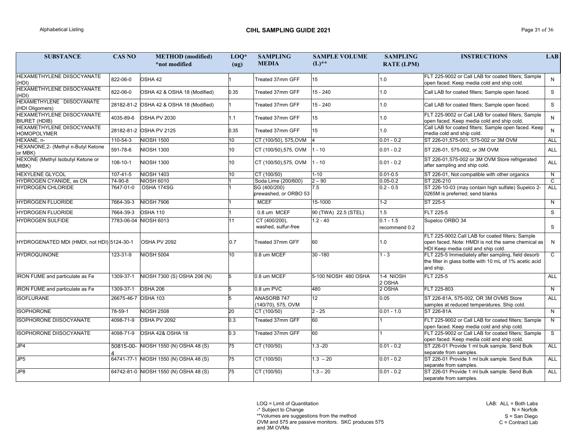LAB: ALL = Both Labs N = Norfolk S = San Diego  $C =$  Contract Lab

LOQ = Limit of Quantitation

-\* Subject to Change

\*\*Volumes are suggestions from the method

OVM and 575 are passive monitors. SKC produces 575

| <b>SUBSTANCE</b>                                          | <b>CAS NO</b>       | <b>METHOD</b> (modified)<br>*not modified | $LOQ*$<br>(ug) | <b>SAMPLING</b><br><b>MEDIA</b>       | <b>SAMPLE VOLUME</b><br>$(L)$ ** | <b>SAMPLING</b><br><b>RATE (LPM)</b> | <b>INSTRUCTIONS</b>                                                                                                                          | <b>LAB</b>   |
|-----------------------------------------------------------|---------------------|-------------------------------------------|----------------|---------------------------------------|----------------------------------|--------------------------------------|----------------------------------------------------------------------------------------------------------------------------------------------|--------------|
| HEXAMETHYLENE DIISOCYANATE<br>(HDI)                       | 822-06-0            | OSHA 42                                   |                | Treated 37mm GFF                      | 15                               | 1.0                                  | FLT 225-9002 or Call LAB for coated filters; Sample<br>open faced. Keep media cold and ship cold.                                            | N            |
| <b>HEXAMETHYLENE DIISOCYANATE</b><br>(HDI)                | 822-06-0            | OSHA 42 & OSHA 18 (Modified)              | 0.35           | Treated 37mm GFF                      | $15 - 240$                       | 1.0                                  | Call LAB for coated filters; Sample open faced.                                                                                              | S            |
| HEXAMETHYLENE DIISOCYANATE<br>(HDI Oligomers)             |                     | 28182-81-2 OSHA 42 & OSHA 18 (Modified)   |                | Treated 37mm GFF                      | $15 - 240$                       | 1.0                                  | Call LAB for coated filters; Sample open faced.                                                                                              | S            |
| <b>HEXAMETHYLENE DIISOCYANATE</b><br><b>BIURET (HDIB)</b> | 4035-89-6           | OSHA PV 2030                              | 1.1            | Treated 37mm GFF                      | 15 <sub>1</sub>                  | 1.0                                  | FLT 225-9002 or Call LAB for coated filters; Sample<br>open faced. Keep media cold and ship cold.                                            | N            |
| HEXAMETHYLENE DIISOCYANATE<br><b>HOMOPOLYMER</b>          |                     | 28182-81-2 OSHA PV 2125                   | 0.35           | Treated 37mm GFF                      | 15                               | 1.0                                  | Call LAB for coated filters; Sample open faced. Keep<br>media cold and ship cold.                                                            | N            |
| HEXANE, n-                                                | 110-54-3            | <b>NIOSH 1500</b>                         | 10             | CT (100/50), 575, OVM                 | $\vert 4 \vert$                  | $0.01 - 0.2$                         | ST 226-01,575-001, 575-002 or 3M OVM                                                                                                         | ALL          |
| HEXANONE, 2- (Methyl n-Butyl Ketone<br>or MBK)            | 591-78-6            | <b>NIOSH 1300</b>                         | 10             | CT (100/50),575, OVM                  | $1 - 10$                         | $0.01 - 0.2$                         | ST 226-01, 575-002, or 3M OVM                                                                                                                | <b>ALL</b>   |
| HEXONE (Methyl Isobutyl Ketone or<br>MIBK)                | 108-10-1            | <b>NIOSH 1300</b>                         | 10             | CT (100/50),575, OVM                  | $1 - 10$                         | $0.01 - 0.2$                         | ST 226-01,575-002 or 3M OVM Store refrigerated<br>after sampling and ship cold.                                                              | ALL          |
| <b>HEXYLENE GLYCOL</b>                                    | 107-41-5            | <b>NIOSH 1403</b>                         | 10             | CT (100/50)                           | $1 - 10$                         | $0.01 - 0.5$                         | ST 226-01, Not compatible with other organics                                                                                                | N            |
| HYDROGEN CYANIDE, as CN                                   | 74-90-8             | <b>NIOSH 6010</b>                         |                | Soda Lime (200/600)                   | $2 - 90$                         | $0.05 - 0.2$                         | ST 226-210                                                                                                                                   | $\mathsf{C}$ |
| HYDROGEN CHLORIDE                                         | 7647-01-0           | OSHA 174SG                                |                | SG (400/200)<br>prewashed, or ORBO 53 | 7.5                              | $0.2 - 0.5$                          | ST 226-10-03 (may contain high sulfate) Supelco 2-<br>0265M is preferred; send blanks                                                        | ALL          |
| HYDROGEN FLUORIDE                                         | 7664-39-3           | <b>NIOSH 7906</b>                         |                | <b>MCEF</b>                           | 15-1000                          | $1 - 2$                              | ST 225-5                                                                                                                                     | N            |
| <b>HYDROGEN FLUORIDE</b>                                  | 7664-39-3           | <b>OSHA 110</b>                           |                | 0.8 um MCEF                           | 90 (TWA) 22.5 (STEL)             | 1.5                                  | FLT 225-5                                                                                                                                    | S            |
| <b>HYDROGEN SULFIDE</b>                                   |                     | 7783-06-04 NIOSH 6013                     | 11             | CT (400/200),<br>washed, sulfur-free  | $1.2 - 40$                       | $0.1 - 1.5$<br>recommend 0.2         | Supelco ORBO 34                                                                                                                              | S.           |
| HYDROGENATED MDI (HMDI, not HDI) 5124-30-1                |                     | OSHA PV 2092                              | 0.7            | Treated 37mm GFF                      | 60                               | 1.0                                  | FLT 225-9002.Call LAB for coated filters; Sample<br>open faced. Note: HMDI is not the same chemical as<br>HDI Keep media cold and ship cold. | N.           |
| <b>HYDROQUINONE</b>                                       | 123-31-9            | <b>NIOSH 5004</b>                         | 10             | 0.8 um MCEF                           | 30 - 180                         | $1 - 3$                              | FLT 225-5 Immediately after sampling, field desorb<br>the filter in glass bottle with 10 mL of 1% acetic acid<br>and ship.                   | $\mathsf{C}$ |
| <b>IRON FUME</b> and particulate as Fe                    | 1309-37-1           | NIOSH 7300 (S) OSHA 206 (N)               |                | 0.8 um MCEF                           | 5-100 NIOSH 480 OSHA             | 1-4 NIOSH<br>2 OSHA                  | FLT 225-5                                                                                                                                    | ALL          |
| <b>IRON FUME and particulate as Fe</b>                    | 1309-37-1           | OSHA 206                                  |                | 0.8 um PVC                            | 480                              | 2 OSHA                               | FLT 225-803                                                                                                                                  | N            |
| <b>ISOFLURANE</b>                                         | 26675-46-7 OSHA 103 |                                           |                | ANASORB 747<br>(140/70), 575, OVM     | 12 <sup>°</sup>                  | 0.05                                 | ST 226-81A, 575-002, OR 3M OVMS Store<br>samples at reduced temperatures. Ship cold.                                                         | ALL          |
| <b>ISOPHORONE</b>                                         | 78-59-1             | <b>NIOSH 2508</b>                         | 20             | CT (100/50)                           | $2 - 25$                         | $0.01 - 1.0$                         | ST 226-81A                                                                                                                                   | N            |
| <b>ISOPHORONE DIISOCYANATE</b>                            | 4098-71-9           | OSHA PV 2092                              | 0.3            | Treated 37mm GFF                      | 60                               |                                      | FLT 225-9002 or Call LAB for coated filters; Sample<br>open faced. Keep media cold and ship cold.                                            | N            |
| <b>ISOPHORONE DIISOCYANATE</b>                            | 4098-71-9           | OSHA 42& OSHA 18                          | 0.3            | Treated 37mm GFF                      | 60                               |                                      | FLT 225-9002 or Call LAB for coated filters; Sample<br>open faced. Keep media cold and ship cold.                                            | S            |
| J <sub>P4</sub>                                           |                     | 50815-00- NIOSH 1550 (N) OSHA 48 (S)      | 75             | CT (100/50)                           | $1.3 - 20$                       | $0.01 - 0.2$                         | ST 226-01 Provide 1 ml bulk sample. Send Bulk<br>separate from samples.                                                                      | ALL          |
| JP <sub>5</sub>                                           |                     | 64741-77-1 NIOSH 1550 (N) OSHA 48 (S)     | 75             | CT (100/50)                           | $1.3 - 20$                       | $0.01 - 0.2$                         | ST 226-01 Provide 1 ml bulk sample. Send Bulk<br>separate from samples.                                                                      | ALL          |
| JP8                                                       |                     | 64742-81-0 NIOSH 1550 (N) OSHA 48 (S)     | 75             | CT (100/50)                           | $1.3 - 20$                       | $0.01 - 0.2$                         | ST 226-01 Provide 1 ml bulk sample. Send Bulk<br>separate from samples.                                                                      | ALL          |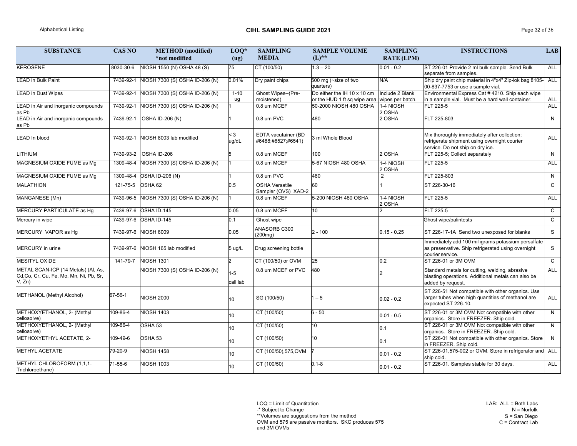# Alphabetical Listing Page 32 of 36

LOQ = Limit of Quantitation

-\* Subject to Change

\*\*Volumes are suggestions from the method

OVM and 575 are passive monitors. SKC produces 575 and 3M OVMs

| <b>SUBSTANCE</b>                                                                        | <b>CAS NO</b> | <b>METHOD</b> (modified)       | $LOQ*$              | <b>SAMPLING</b>                                  | <b>SAMPLE VOLUME</b>                                                        | <b>SAMPLING</b>     | <b>INSTRUCTIONS</b>                                                                                                              | LAB          |
|-----------------------------------------------------------------------------------------|---------------|--------------------------------|---------------------|--------------------------------------------------|-----------------------------------------------------------------------------|---------------------|----------------------------------------------------------------------------------------------------------------------------------|--------------|
|                                                                                         |               | *not modified                  | (ug)                | <b>MEDIA</b>                                     | $(L)$ **                                                                    | <b>RATE (LPM)</b>   |                                                                                                                                  |              |
| <b>KEROSENE</b>                                                                         | 8030-30-6     | NIOSH 1550 (N) OSHA 48 (S)     | 75                  | CT (100/50)                                      | $1.3 - 20$                                                                  | $0.01 - 0.2$        | ST 226-01 Provide 2 ml bulk sample. Send Bulk<br>separate from samples.                                                          | ALL          |
| <b>LEAD in Bulk Paint</b>                                                               | 7439-92-1     | NIOSH 7300 (S) OSHA ID-206 (N) | 0.01%               | Dry paint chips                                  | 500 mg ( $\sim$ size of two<br>quarters)                                    | N/A                 | Ship dry paint chip material in 4"x4" Zip-lok bag 8105- ALL<br>00-837-7753 or use a sample vial.                                 |              |
| <b>LEAD</b> in Dust Wipes                                                               | 7439-92-1     | NIOSH 7300 (S) OSHA ID-206 (N) | $1 - 10$<br>ug      | Ghost Wipes--(Pre-<br>moistened)                 | Do either the IH 10 x 10 cm<br>or the HUD 1 ft sq wipe area wipes per batch | Include 2 Blank     | Environmental Express Cat # 4210. Ship each wipe<br>in a sample vial. Must be a hard wall container.                             | ALL          |
| LEAD in Air and inorganic compounds<br>as Pb                                            | 7439-92-1     | NIOSH 7300 (S) OSHA ID-206 (N) |                     | 0.8 um MCEF                                      | 50-2000 NIOSH 480 OSHA                                                      | 1-4 NIOSH<br>2 OSHA | FLT 225-5                                                                                                                        | <b>ALL</b>   |
| LEAD in Air and inorganic compounds<br>as Pb                                            | 7439-92-1     | <b>OSHA ID-206 (N)</b>         |                     | 0.8 um PVC                                       | 480                                                                         | 2 OSHA              | FLT 225-803                                                                                                                      | N            |
| <b>LEAD In blood</b>                                                                    | 7439-92-1     | NIOSH 8003 lab modified        | $<$ 3<br>ug/dL      | <b>EDTA</b> vacutainer (BD<br>#6488;#6527;#6541) | 3 ml Whole Blood                                                            |                     | Mix thoroughly immediately after collection;<br>refrigerate shipment using overnight courier<br>service. Do not ship on dry ice. | <b>ALL</b>   |
| LITHIUM                                                                                 | 7439-93-2     | OSHA ID-206                    |                     | 0.8 um MCEF                                      | 100                                                                         | 2 OSHA              | FLT 225-5; Collect separately                                                                                                    | N            |
| MAGNESIUM OXIDE FUME as Mg                                                              | 1309-48-4     | VIOSH 7300 (S) OSHA ID-206 (N) |                     | 0.8 um MCEF                                      | 5-67 NIOSH 480 OSHA                                                         | 1-4 NIOSH<br>2 OSHA | FLT 225-5                                                                                                                        | <b>ALL</b>   |
| MAGNESIUM OXIDE FUME as Mg                                                              | 1309-48-4     | <b>OSHA ID-206 (N)</b>         |                     | 0.8 um PVC                                       | 480                                                                         | $\overline{2}$      | FLT 225-803                                                                                                                      | N            |
| MALATHION                                                                               | 121-75-5      | OSHA 62                        | 0.5                 | <b>OSHA Versatile</b><br>Sampler (OVS) XAD-2     | 60                                                                          |                     | ST 226-30-16                                                                                                                     | $\mathsf{C}$ |
| MANGANESE (Mn)                                                                          | 7439-96-5     | NIOSH 7300 (S) OSHA ID-206 (N) |                     | 0.8 um MCEF                                      | 5-200 NIOSH 480 OSHA                                                        | 1-4 NIOSH<br>2 OSHA | <b>FLT 225-5</b>                                                                                                                 | ALL          |
| <b>MERCURY PARTICULATE as Hg</b>                                                        |               | 7439-97-6 OSHA ID-145          | 0.05                | 0.8 um MCEF                                      | 10                                                                          |                     | <b>FLT 225-5</b>                                                                                                                 | $\mathsf{C}$ |
| Mercury in wipe                                                                         |               | 7439-97-6 OSHA ID-145          | 0.1                 | Ghost wipe                                       |                                                                             |                     | Ghost wipe/palintests                                                                                                            | $\mathsf{C}$ |
| MERCURY VAPOR as Hg                                                                     |               | 7439-97-6 NIOSH 6009           | 0.05                | <b>ANASORB C300</b><br>(200mg)                   | $2 - 100$                                                                   | $0.15 - 0.25$       | ST 226-17-1A Send two unexposed for blanks                                                                                       | S            |
| MERCURY in urine                                                                        | 7439-97-6     | NIOSH 165 lab modified         | 5 ug/L              | Drug screening bottle                            |                                                                             |                     | Immediately add 100 milligrams potassium persulfate<br>as preservative. Ship refrigerated using overnight<br>courier service.    | S            |
| MESITYL OXIDE                                                                           | 141-79-7      | <b>NIOSH 1301</b>              |                     | CT (100/50) or OVM                               | 25                                                                          | 0.2                 | ST 226-01 or 3M OVM                                                                                                              | $\mathbf{C}$ |
| METAL SCAN-ICP (14 Metals) (AI, As,<br>Cd,Co, Cr, Cu, Fe, Mo, Mn, Ni, Pb, Sr,<br>V, Zn) |               | NIOSH 7300 (S) OSHA ID-206 (N) | $1 - 5$<br>call lab | 0.8 um MCEF or PVC                               | 480                                                                         |                     | Standard metals for cutting, welding, abrasive<br>blasting operations. Additional metals can also be<br>added by request.        | <b>ALL</b>   |
| METHANOL (Methyl Alcohol)                                                               | 67-56-1       | <b>NIOSH 2000</b>              | 10 <sup>1</sup>     | SG (100/50)                                      | $-5$                                                                        | $0.02 - 0.2$        | ST 226-51 Not compatible with other organics. Use<br>larger tubes when high quantities of methanol are<br>expected ST 226-10.    | <b>ALL</b>   |
| METHOXYETHANOL, 2- (Methyl<br>cellosolve)                                               | 109-86-4      | <b>NIOSH 1403</b>              | 10 <sup>1</sup>     | CT (100/50)                                      | $6 - 50$                                                                    | $0.01 - 0.5$        | ST 226-01 or 3M OVM Not compatible with other<br>organics. Store in FREEZER. Ship cold.                                          | N            |
| METHOXYETHANOL, 2- (Methyl<br>cellosolve)                                               | 109-86-4      | OSHA 53                        | 10 <sup>°</sup>     | CT (100/50)                                      | 10                                                                          | 0.1                 | ST 226-01 or 3M OVM Not compatible with other<br>organics. Store in FREEZER. Ship cold.                                          | N            |
| METHOXYETHYL ACETATE, 2-                                                                | 109-49-6      | OSHA 53                        | 10                  | CT (100/50)                                      | 10 <sup>°</sup>                                                             | 0.1                 | ST 226-01 Not compatible with other organics. Store  <br>in FREEZER. Ship cold.                                                  | N            |
| <b>METHYL ACETATE</b>                                                                   | 79-20-9       | <b>VIOSH 1458</b>              | 10 <sup>°</sup>     | CT (100/50),575,OVM                              |                                                                             | $0.01 - 0.2$        | ST 226-01,575-002 or OVM. Store in refrigerator and ALL<br>ship cold.                                                            |              |
| METHYL CHLOROFORM (1,1,1-<br>Trichloroethane)                                           | 71-55-6       | <b>VIOSH 1003</b>              | 10                  | CT (100/50)                                      | $0.1 - 8$                                                                   | $0.01 - 0.2$        | ST 226-01. Samples stable for 30 days.                                                                                           | ALL          |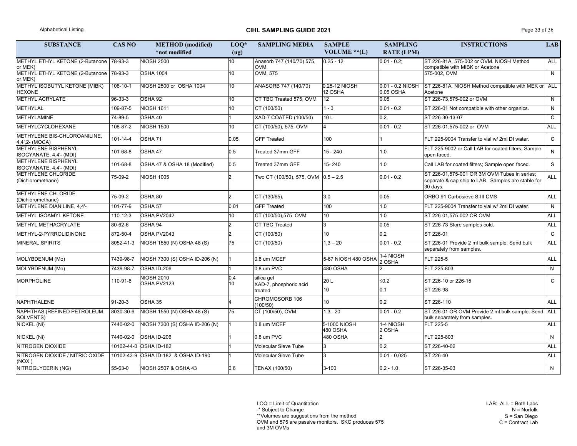# Alphabetical Listing **CIHL SAMPLING GUIDE 2021** Page 33 of 36

LAB: ALL = Both Labs N = Norfolk S = San Diego  $C =$  Contract Lab

LOQ = Limit of Quantitation

-\* Subject to Change

\*\*Volumes are suggestions from the method

OVM and 575 are passive monitors. SKC produces 575 and 3M OVMs

| <b>SUBSTANCE</b>                                      | <b>CAS NO</b>  | <b>METHOD</b> (modified)             | $LOQ*$    | <b>SAMPLING MEDIA</b>                   | <b>SAMPLE</b>            | <b>SAMPLING</b>               | <b>INSTRUCTIONS</b>                                                                                            | <b>LAB</b>   |
|-------------------------------------------------------|----------------|--------------------------------------|-----------|-----------------------------------------|--------------------------|-------------------------------|----------------------------------------------------------------------------------------------------------------|--------------|
|                                                       |                | *not modified                        | (ug)      |                                         | VOLUME $**$ (L)          | <b>RATE (LPM)</b>             |                                                                                                                |              |
| METHYL ETHYL KETONE (2-Butanone   78-93-3<br>or MEK)  |                | <b>NIOSH 2500</b>                    | 10        | Anasorb 747 (140/70) 575,<br><b>OVM</b> | $0.25 - 12$              | $0.01 - 0.2$ ;                | ST 226-81A, 575-002 or OVM. NIOSH Method<br>compatible with MIBK or Acetone                                    | <b>ALL</b>   |
| <b>METHYL ETHYL KETONE (2-Butanone)</b><br>or MEK)    | 78-93-3        | <b>OSHA 1004</b>                     | 10        | <b>OVM, 575</b>                         |                          |                               | 575-002, OVM                                                                                                   | N            |
| METHYL ISOBUTYL KETONE (MIBK)<br><b>HEXONE</b>        | 108-10-1       | NIOSH 2500 or OSHA 1004              | 10        | ANASORB 747 (140/70)                    | 0.25-12 NIOSH<br>12 OSHA | 0.01 - 0.2 NIOSH<br>0.05 OSHA | ST 226-81A. NIOSH Method compatible with MEK or ALL<br>Acetone                                                 |              |
| <b>METHYL ACRYLATE</b>                                | 96-33-3        | OSHA 92                              | 10        | CT TBC Treated 575, OVM                 | 12 <sup>12</sup>         | 0.05                          | ST 226-73,575-002 or OVM                                                                                       | N            |
| <b>METHYLAL</b>                                       | 109-87-5       | <b>NIOSH 1611</b>                    | 10        | CT (100/50)                             | $1 - 3$                  | $0.01 - 0.2$                  | ST 226-01 Not compatible with other organics.                                                                  | N.           |
| METHYLAMINE                                           | 74-89-5        | OSHA 40                              |           | XAD-7 COATED (100/50)                   | 10L                      | 0.2                           | ST 226-30-13-07                                                                                                | $\mathsf{C}$ |
| METHYLCYCLOHEXANE                                     | 108-87-2       | <b>NIOSH 1500</b>                    | 10        | CT (100/50), 575, OVM                   |                          | $0.01 - 0.2$                  | ST 226-01,575-002 or OVM                                                                                       | <b>ALL</b>   |
| METHYLENE BIS-CHLOROANILINE,<br>4,4',2- (MOCA)        | $101 - 14 - 4$ | OSHA 71                              | 0.05      | <b>GFF Treated</b>                      | 100                      |                               | FLT 225-9004 Transfer to vial w/ 2ml DI water.                                                                 | $\mathsf{C}$ |
| <b>METHYLENE BISPHENYL</b><br>ISOCYANATE, 4,4'- (MDI) | 101-68-8       | OSHA 47                              | 0.5       | Treated 37mm GFF                        | $15 - 240$               | 1.0                           | FLT 225-9002 or Call LAB for coated filters; Sample<br>open faced.                                             | N.           |
| METHYLENE BISPHENYL<br>ISOCYANATE, 4,4'- (MDI)        | 101-68-8       | OSHA 47 & OSHA 18 (Modified)         | 0.5       | Treated 37mm GFF                        | 15-240                   | 1.0                           | Call LAB for coated filters; Sample open faced.                                                                | S            |
| <b>METHYLENE CHLORIDE</b><br>(Dichloromethane)        | 75-09-2        | <b>NIOSH 1005</b>                    |           | Two CT (100/50), 575, OVM $ 0.5 - 2.5 $ |                          | $0.01 - 0.2$                  | ST 226-01,575-001 OR 3M OVM Tubes in series;<br>separate & cap ship to LAB. Samples are stable for<br>30 days. | <b>ALL</b>   |
| <b>METHYLENE CHLORIDE</b><br>(Dichloromethane)        | 75-09-2        | OSHA 80                              |           | CT (130/65),                            | 3.0                      | 0.05                          | ORBO 91 Carbosieve S-III CMS                                                                                   | <b>ALL</b>   |
| METHYLENE DIANILINE, 4,4'-                            | 101-77-9       | OSHA 57                              | 0.01      | <b>GFF Treated</b>                      | 100                      | 1.0                           | FLT 225-9004 Transfer to vial w/ 2ml DI water.                                                                 | N            |
| METHYL ISOAMYL KETONE                                 | 110-12-3       | OSHA PV2042                          | 10        | CT (100/50),575 OVM                     | 10 <sup>1</sup>          | 1.0                           | ST 226-01,575-002 OR OVM                                                                                       | <b>ALL</b>   |
| <b>METHYL METHACRYLATE</b>                            | 80-62-6        | OSHA 94                              |           | <b>CT TBC Treated</b>                   | l3                       | 0.05                          | ST 226-73 Store samples cold.                                                                                  | <b>ALL</b>   |
| METHYL-2-PYRROLIDINONE                                | 872-50-4       | OSHA PV2043                          |           | CT (100/50)                             | 10 <sup>1</sup>          | 0.2                           | ST 226-01                                                                                                      | $\mathsf{C}$ |
| <b>MINERAL SPIRITS</b>                                | 8052-41-3      | NIOSH 1550 (N) OSHA 48 (S)           | 75        | CT (100/50)                             | $1.3 - 20$               | $0.01 - 0.2$                  | ST 226-01 Provide 2 ml bulk sample. Send bulk<br>separately from samples.                                      | <b>ALL</b>   |
| MOLYBDENUM (Mo)                                       | 7439-98-7      | NIOSH 7300 (S) OSHA ID-206 (N)       |           | 0.8 um MCEF                             | 5-67 NIOSH 480 OSHA      | 1-4 NIOSH<br>2 OSHA           | FLT 225-5                                                                                                      | <b>ALL</b>   |
| MOLYBDENUM (Mo)                                       |                | 7439-98-7 OSHA ID-206                |           | 0.8 um PVC                              | 480 OSHA                 |                               | FLT 225-803                                                                                                    | N            |
| MORPHOLINE                                            | 110-91-8       | <b>NIOSH 2010</b><br>OSHA PV2123     | 0.4<br>10 | silica gel<br>XAD-7, phosphoric acid    | 20 L                     | $≤0.2$                        | ST 226-10 or 226-15                                                                                            | $\mathsf{C}$ |
|                                                       |                |                                      |           | treated                                 | 10                       | 0.1                           | ST 226-98                                                                                                      |              |
| NAPHTHALENE                                           | $91 - 20 - 3$  | OSHA 35                              |           | CHROMOSORB 106<br>(100/50)              | 10 <sup>1</sup>          | 0.2                           | ST 226-110                                                                                                     | ALL          |
| NAPHTHAS (REFINED PETROLEUM<br>SOLVENTS)              | 8030-30-6      | NIOSH 1550 (N) OSHA 48 (S)           | 75        | CT (100/50), OVM                        | $1.3 - 20$               | $0.01 - 0.2$                  | ST 226-01 OR OVM Provide 2 ml bulk sample. Send ALL<br>bulk separately from samples.                           |              |
| NICKEL (Ni)                                           | 7440-02-0      | NIOSH 7300 (S) OSHA ID-206 (N)       |           | 0.8 um MCEF                             | 5-1000 NIOSH<br>480 OSHA | 1-4 NIOSH<br>2 OSHA           | FLT 225-5                                                                                                      | <b>ALL</b>   |
| NICKEL (Ni)                                           | 7440-02-0      | OSHA ID-206                          |           | 0.8 um PVC                              | 480 OSHA                 | $\overline{2}$                | FLT 225-803                                                                                                    | N            |
| NITROGEN DIOXIDE                                      |                | 10102-44-0 OSHA ID-182               |           | Molecular Sieve Tube                    | 3                        | 0.2                           | ST 226-40-02                                                                                                   | ALL          |
| NITROGEN DIOXIDE / NITRIC OXIDE<br>(NOX)              |                | 10102-43-9 OSHA ID-182 & OSHA ID-190 |           | Molecular Sieve Tube                    | Ι3                       | $0.01 - 0.025$                | ST 226-40                                                                                                      | ALL          |
| NITROGLYCERIN (NG)                                    | 55-63-0        | NIOSH 2507 & OSHA 43                 | 0.6       | TENAX (100/50)                          | $3 - 100$                | $0.2 - 1.0$                   | ST 226-35-03                                                                                                   | N            |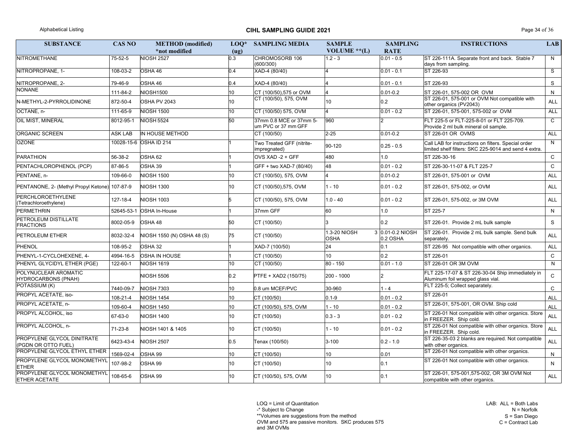# Alphabetical Listing **CIHL SAMPLING GUIDE 2021** Page 34 of 36

LAB: ALL = Both Labs N = Norfolk S = San Diego  $C =$  Contract Lab

LOQ = Limit of Quantitation

-\* Subject to Change

\*\*Volumes are suggestions from the method

OVM and 575 are passive monitors. SKC produces 575

| <b>SUBSTANCE</b>                                         | <b>CAS NO</b>  | <b>METHOD</b> (modified)          | $LOQ*$ | <b>SAMPLING MEDIA</b>                          | <b>SAMPLE</b>               | <b>SAMPLING</b>              | <b>INSTRUCTIONS</b>                                                                                          | LAB          |
|----------------------------------------------------------|----------------|-----------------------------------|--------|------------------------------------------------|-----------------------------|------------------------------|--------------------------------------------------------------------------------------------------------------|--------------|
|                                                          |                | *not modified                     | (ug)   |                                                | VOLUME ** $(L)$             | <b>RATE</b>                  |                                                                                                              |              |
| <b>NITROMETHANE</b>                                      | 75-52-5        | <b>NIOSH 2527</b>                 | 0.3    | CHROMOSORB 106<br>(600/300)                    | $1.2 - 3$                   | $ 0.01 - 0.5$                | ST 226-111A. Separate front and back. Stable 7<br>days from sampling.                                        | N            |
| NITROPROPANE, 1-                                         | 108-03-2       | OSHA 46                           | 0.4    | XAD-4 (80/40)                                  |                             | $0.01 - 0.1$                 | ST 226-93                                                                                                    | S            |
| NITROPROPANE, 2-                                         | 79-46-9        | OSHA 46                           | 0.4    | XAD-4 (80/40)                                  |                             | $0.01 - 0.1$                 | ST 226-93                                                                                                    | S            |
| <b>NONANE</b>                                            | 111-84-2       | <b>NIOSH1500</b>                  |        | CT (100/50),575 or OVM                         |                             | $0.01 - 0.2$                 | ST 226-01, 575-002 OR OVM                                                                                    | N            |
| N-METHYL-2-PYRROLIDINONE                                 | 872-50-4       | OSHA PV 2043                      |        | CT (100/50), 575, OVM                          | 10                          | 0.2                          | ST 226-01, 575-001 or OVM Not compatible with<br>other organics (PV2043)                                     | <b>ALL</b>   |
| OCTANE, n-                                               | 111-65-9       | <b>NIOSH 1500</b>                 | 10     | CT (100/50) 575, OVM                           |                             | $ 0.01 - 0.2 $               | ST 226-01, 575-001, 575-002 or OVM                                                                           | <b>ALL</b>   |
| <b>OIL MIST, MINERAL</b>                                 | 8012-95-1      | <b>NIOSH 5524</b>                 | 50     | 37mm 0.8 MCE or 37mm 5-<br>um PVC or 37 mm GFF | 960                         |                              | FLT 225-5 or FLT-225-8-01 or FLT 225-709.<br>Provide 2 ml bulk mineral oil sample.                           | $\mathsf{C}$ |
| <b>ORGANIC SCREEN</b>                                    | <b>ASK LAB</b> | IN HOUSE METHOD                   |        | CT (100/50)                                    | $2 - 25$                    | $0.01 - 0.2$                 | ST 226-01 OR OVMS                                                                                            | <b>ALL</b>   |
| <b>OZONE</b>                                             |                | 10028-15-6 OSHA ID 214            |        | Two Treated GFF (nitrite-<br>impregnated)      | 90-120                      | $0.25 - 0.5$                 | Call LAB for instructions on filters. Special order<br>limited shelf filters: SKC 225-9014 and send 4 extra. | N            |
| PARATHION                                                | 56-38-2        | OSHA 62                           |        | OVS XAD -2 + GFF                               | 480                         | 0.1                          | ST 226-30-16                                                                                                 | $\mathsf{C}$ |
| PENTACHLOROPHENOL (PCP)                                  | 87-86-5        | OSHA 39                           |        | GFF + two XAD-7 (80/40)                        | 48                          | 0.01 - 0.2                   | ST 226-30-11-07 & FLT 225-7                                                                                  | $\mathsf{C}$ |
| PENTANE, n-                                              | 109-66-0       | <b>NIOSH 1500</b>                 |        | CT (100/50), 575, OVM                          |                             | $0.01 - 0.2$                 | ST 226-01, 575-001 or OVM                                                                                    | <b>ALL</b>   |
| PENTANONE, 2- (Methyl Propyl Ketone) 107-87-9            |                | <b>NIOSH 1300</b>                 |        | CT (100/50),575, OVM                           | $1 - 10$                    | $ 0.01 - 0.2 $               | ST 226-01, 575-002, or OVM                                                                                   | <b>ALL</b>   |
| PERCHLOROETHYLENE<br>(Tetrachloroethylene)               | 127-18-4       | <b>NIOSH 1003</b>                 |        | CT (100/50), 575, OVM                          | $1.0 - 40$                  | $ 0.01 - 0.2 $               | ST 226-01, 575-002, or 3M OVM                                                                                | <b>ALL</b>   |
| PERMETHRIN                                               | 52645-53-1     | <b>OSHA In-House</b>              |        | 37mm GFF                                       | 60                          | .0                           | ST 225-7                                                                                                     | N            |
| <b>PETROLEUM DISTILLATE</b><br><b>FRACTIONS</b>          | 8002-05-9      | OSHA 48                           | 50     | CT (100/50)                                    |                             | 0.2                          | ST 226-01. Provide 2 mL bulk sample                                                                          | S            |
| <b>PETROLEUM ETHER</b>                                   | 8032-32-4      | <b>NIOSH 1550 (N) OSHA 48 (S)</b> | 75     | CT (100/50)                                    | 1.3-20 NIOSH<br><b>OSHA</b> | 3 0.01-0.2 NIOSH<br>0.2 OSHA | ST 226-01. Provide 2 mL bulk sample. Send bulk<br>separately.                                                | <b>ALL</b>   |
| PHENOL                                                   | 108-95-2       | OSHA 32                           |        | XAD-7 (100/50)                                 | 24                          | 0.1                          | ST 226-95 Not compatible with other organics.                                                                | <b>ALL</b>   |
| PHENYL-1-CYCLOHEXENE, 4-                                 | 4994-16-5      | <b>OSHA IN HOUSE</b>              |        | CT (100/50)                                    | 10                          | 0.2                          | ST 226-01                                                                                                    | $\mathsf{C}$ |
| PHENYL GLYCIDYL ETHER (PGE)                              | 122-60-1       | <b>NIOSH 1619</b>                 | 10     | CT (100/50)                                    | 80 - 150                    | $0.01 - 1.0$                 | ST 226-01 OR 3M OVM                                                                                          | N            |
| <b>POLYNUCLEAR AROMATIC</b><br>HYDROCARBONS (PNAH)       |                | <b>NIOSH 5506</b>                 | 0.2    | <b>PTFE + XAD2 (150/75)</b>                    | 200 - 1000                  | 2                            | FLT 225-17-07 & ST 226-30-04 Ship immediately in<br>Aluminum foil wrapped glass vial.                        | $\mathsf{C}$ |
| POTASSIUM (K)                                            | 7440-09-7      | <b>VIOSH 7303</b>                 | 10     | 0.8 um MCEF/PVC                                | 30-960                      | $1 - 4$                      | FLT 225-5; Collect separately.                                                                               | $\mathsf{C}$ |
| PROPYL ACETATE, iso-                                     | 108-21-4       | <b>VIOSH 1454</b>                 | 10     | CT (100/50)                                    | $0.1 - 9$                   | $0.01 - 0.2$                 | ST 226-01                                                                                                    | ALL          |
| PROPYL ACETATE, n-                                       | 109-60-4       | <b>NIOSH 1450</b>                 | 10     | CT (100/50), 575, OVM                          | 1 - 10                      | $0.01 - 0.2$                 | ST 226-01, 575-001, OR OVM. Ship cold                                                                        | <b>ALL</b>   |
| PROPYL ALCOHOL, iso                                      | 67-63-0        | <b>NIOSH 1400</b>                 | 10     | CT(100/50)                                     | $0.3 - 3$                   | $0.01 - 0.2$                 | ST 226-01 Not compatible with other organics. Store<br>in FREEZER. Ship cold.                                | ALL          |
| PROPYL ALCOHOL, n-                                       | 71-23-8        | NIOSH 1401 & 1405                 | 10     | CT(100/50)                                     | $1 - 10$                    | $0.01 - 0.2$                 | ST 226-01 Not compatible with other organics. Store<br>in FREEZER. Ship cold.                                | <b>ALL</b>   |
| <b>PROPYLENE GLYCOL DINITRATE</b><br>(PGDN OR OTTO FUEL) | 6423-43-4      | <b>NIOSH 2507</b>                 | 0.5    | Tenax (100/50)                                 | $3 - 100$                   | $0.2 - 1.0$                  | ST 226-35-03 2 blanks are required. Not compatible<br>with other organics.                                   | <b>ALL</b>   |
| <b>PROPYLENE GLYCOL ETHYL ETHER</b>                      | 1569-02-4      | OSHA 99                           | 10     | CT(100/50)                                     | 10                          | 0.01                         | ST 226-01 Not compatible with other organics.                                                                | N            |
| <b>PROPYLENE GLYCOL MONOMETHYL</b><br><b>ETHER</b>       | 107-98-2       | OSHA 99                           | 10     | CT(100/50)                                     | 10                          | 0.1                          | ST 226-01 Not compatible with other organics.                                                                | N            |
| PROPYLENE GLYCOL MONOMETHYL<br><b>ETHER ACETATE</b>      | 108-65-6       | OSHA 99                           | 10     | CT (100/50), 575, OVM                          | 10                          | 0.1                          | ST 226-01, 575-001, 575-002, OR 3M OVM Not<br>compatible with other organics.                                | ALL          |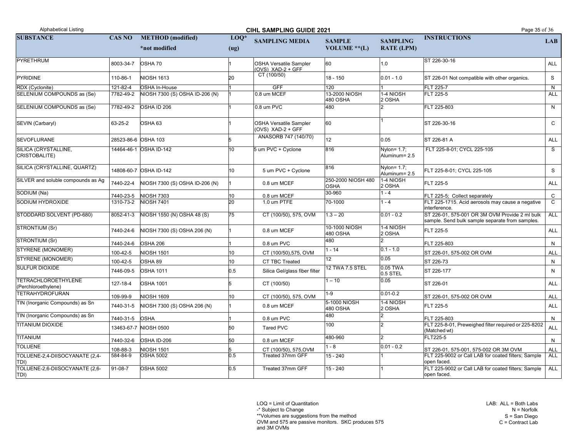LAB: ALL = Both Labs N = Norfolk S = San Diego  $C =$  Contract Lab

LOQ = Limit of Quantitation

-\* Subject to Change

\*\*Volumes are suggestions from the method

OVM and 575 are passive monitors. SKC produces 575

| <b>Alphabetical Listing</b>                |                |                                | Page 35 of 36                             |                                                      |                                   |                                  |                                                                                                   |              |
|--------------------------------------------|----------------|--------------------------------|-------------------------------------------|------------------------------------------------------|-----------------------------------|----------------------------------|---------------------------------------------------------------------------------------------------|--------------|
| <b>SUBSTANCE</b>                           | <b>CAS NO</b>  | <b>METHOD</b> (modified)       | <b>CIHL SAMPLING GUIDE 2021</b><br>$LOQ*$ | <b>SAMPLING MEDIA</b>                                | <b>SAMPLE</b>                     | <b>SAMPLING</b>                  | <b>INSTRUCTIONS</b>                                                                               | LAB          |
|                                            |                | *not modified                  | (ug)                                      |                                                      | VOLUME $**$ (L)                   | <b>RATE (LPM)</b>                |                                                                                                   |              |
| PYRETHRUM                                  | 8003-34-7      | OSHA 70                        |                                           | <b>OSHA Versatile Sampler</b><br>$(OVS)$ XAD-2 + GFF | 60                                | 1.0                              | ST 226-30-16                                                                                      | <b>ALL</b>   |
| PYRIDINE                                   | 110-86-1       | <b>NIOSH 1613</b>              | 20                                        | CT (100/50)                                          | $18 - 150$                        | $0.01 - 1.0$                     | ST 226-01 Not compatible with other organics.                                                     | S            |
| RDX (Cyclonite)                            | 121-82-4       | <b>OSHA In-House</b>           |                                           | <b>GFF</b>                                           | 120                               |                                  | <b>FLT 225-7</b>                                                                                  | N            |
| SELENIUM COMPOUNDS as (Se)                 | 7782-49-2      | NIOSH 7300 (S) OSHA ID-206 (N) |                                           | 0.8 um MCEF                                          | 13-2000 NIOSH<br>480 OSHA         | 1-4 NIOSH<br>2 OSHA              | FLT 225-5                                                                                         | <b>ALL</b>   |
| SELENIUM COMPOUNDS as (Se)                 | 7782-49-2      | OSHA ID 206                    |                                           | 0.8 um PVC                                           | 480                               |                                  | FLT 225-803                                                                                       | N            |
| SEVIN (Carbaryl)                           | 63-25-2        | OSHA 63                        |                                           | <b>OSHA Versatile Sampler</b><br>(OVS) XAD-2 + GFF   | 60                                |                                  | ST 226-30-16                                                                                      | $\mathsf{C}$ |
| <b>SEVOFLURANE</b>                         |                | 28523-86-6 OSHA 103            |                                           | ANASORB 747 (140/70)                                 | 12 <sup>2</sup>                   | 0.05                             | ST 226-81 A                                                                                       | <b>ALL</b>   |
| SILICA (CRYSTALLINE,<br>CRISTOBALITE)      |                | 14464-46-1 OSHA ID-142         | 10                                        | 5 um PVC + Cyclone                                   | 816                               | Nylon = $1.7$ ;<br>Aluminum= 2.5 | FLT 225-8-01; CYCL 225-105                                                                        | S            |
| SILICA (CRYSTALLINE, QUARTZ)               |                | 14808-60-7 OSHA ID-142         | 10                                        | 5 um PVC + Cyclone                                   | 816                               | $Nylon=1.7$ ;<br>Aluminum= 2.5   | FLT 225-8-01; CYCL 225-105                                                                        | S            |
| SILVER and soluble compounds as Ag         | 7440-22-4      | NIOSH 7300 (S) OSHA ID-206 (N) |                                           | 0.8 um MCEF                                          | 250-2000 NIOSH 480<br><b>OSHA</b> | 1-4 NIOSH<br>2 OSHA              | <b>FLT 225-5</b>                                                                                  | ALL          |
| SODIUM (Na)                                | 7440-23-5      | <b>NIOSH 7303</b>              | 10                                        | 0.8 um MCEF                                          | 30-960                            | $1 - 4$                          | FLT 225-5; Collect separately                                                                     | $\mathsf{C}$ |
| <b>SODIUM HYDROXIDE</b>                    | 1310-73-2      | <b>NIOSH 7401</b>              | 20                                        | 1.0 um PTFE                                          | 70-1000                           | $1 - 4$                          | FLT 225-1715. Acid aerosols may cause a negative<br>interference.                                 | $\mathsf{C}$ |
| STODDARD SOLVENT (PD-680)                  | 8052-41-3      | NIOSH 1550 (N) OSHA 48 (S)     | 75                                        | CT (100/50), 575, OVM                                | $1.3 - 20$                        | $0.01 - 0.2$                     | ST 226-01, 575-001 OR 3M OVM Provide 2 ml bulk<br>sample. Send bulk sample separate from samples. | <b>ALL</b>   |
| STRONTIUM (Sr)                             | 7440-24-6      | NIOSH 7300 (S) OSHA 206 (N)    |                                           | 0.8 um MCEF                                          | 10-1000 NIOSH<br>480 OSHA         | 1-4 NIOSH<br>2 OSHA              | FLT 225-5                                                                                         | ALL          |
| STRONTIUM (Sr)                             |                | 7440-24-6 OSHA 206             |                                           | 0.8 um PVC                                           | 480                               |                                  | FLT 225-803                                                                                       | N            |
| STYRENE (MONOMER)                          | 100-42-5       | <b>NIOSH 1501</b>              |                                           | CT (100/50),575, OVM                                 | $1 - 14$                          | $ 0.1 - 1.0 $                    | ST 226-01, 575-002 OR OVM                                                                         | ALL          |
| STYRENE (MONOMER)                          | 100-42-5       | OSHA 89                        | 10 <sup>°</sup>                           | <b>CT TBC Treated</b>                                | 12 <sup>°</sup>                   | 0.05                             | ST 226-73                                                                                         | N            |
| <b>SULFUR DIOXIDE</b>                      | 7446-09-5      | <b>OSHA 1011</b>               | 0.5                                       | Silica Gel/glass fiber filter                        | 12 TWA 7.5 STEL                   | 0.05 TWA<br>$0.5$ STEL           | ST 226-177                                                                                        | N            |
| TETRACHLOROETHYLENE<br>(Perchloroethylene) | 127-18-4       | <b>OSHA 1001</b>               |                                           | CT (100/50)                                          | $-10$                             | 0.05                             | ST 226-01                                                                                         | ALL          |
| <b>TETRAHYDROFURAN</b>                     | 109-99-9       | <b>NIOSH 1609</b>              | 10 <sup>°</sup>                           | CT (100/50), 575, OVM                                | $1 - 9$                           | $0.01 - 0.2$                     | ST 226-01, 575-002 OR OVM                                                                         | ALL          |
| TIN (Inorganic Compounds) as Sn            | 7440-31-5      | NIOSH 7300 (S) OSHA 206 (N)    |                                           | 0.8 um MCEF                                          | 5-1000 NIOSH<br>480 OSHA          | 1-4 NIOSH<br>2 OSHA              | <b>FLT 225-5</b>                                                                                  | ALL          |
| TIN (Inorganic Compounds) as Sn            | 7440-31-5 OSHA |                                |                                           | 0.8 um PVC                                           | 480                               |                                  | FLT 225-803                                                                                       | N            |
| <b>TITANIUM DIOXIDE</b>                    |                | 13463-67-7 NIOSH 0500          | 50                                        | Tared PVC                                            | 100                               | C                                | FLT 225-8-01, Preweighed filter required or 225-8202<br>(Matched wt)                              | <b>ALL</b>   |
| TITANIUM                                   | 7440-32-6      | OSHA ID-206                    | 50                                        | 0.8 um MCEF                                          | 480-960                           | C                                | FLT225-5                                                                                          | N            |
| <b>TOLUENE</b>                             | 108-88-3       | <b>NIOSH 1501</b>              |                                           | CT (100/50), 575, OVM                                | $-8$                              | $0.01 - 0.2$                     | ST 226-01, 575-001, 575-002 OR 3M OVM                                                             | ALL          |
| TOLUENE-2,4-DIISOCYANATE (2,4-<br>TDI)     | 584-84-9       | <b>OSHA 5002</b>               | 0.5                                       | Treated 37mm GFF                                     | $15 - 240$                        |                                  | FLT 225-9002 or Call LAB for coated filters; Sample<br>open faced.                                | <b>ALL</b>   |
| TOLUENE-2,6-DIISOCYANATE (2,6-<br>TDI)     | 91-08-7        | <b>OSHA 5002</b>               | 0.5                                       | Treated 37mm GFF                                     | $\sqrt{15 - 240}$                 |                                  | FLT 225-9002 or Call LAB for coated filters; Sample<br>open faced.                                | ALL          |